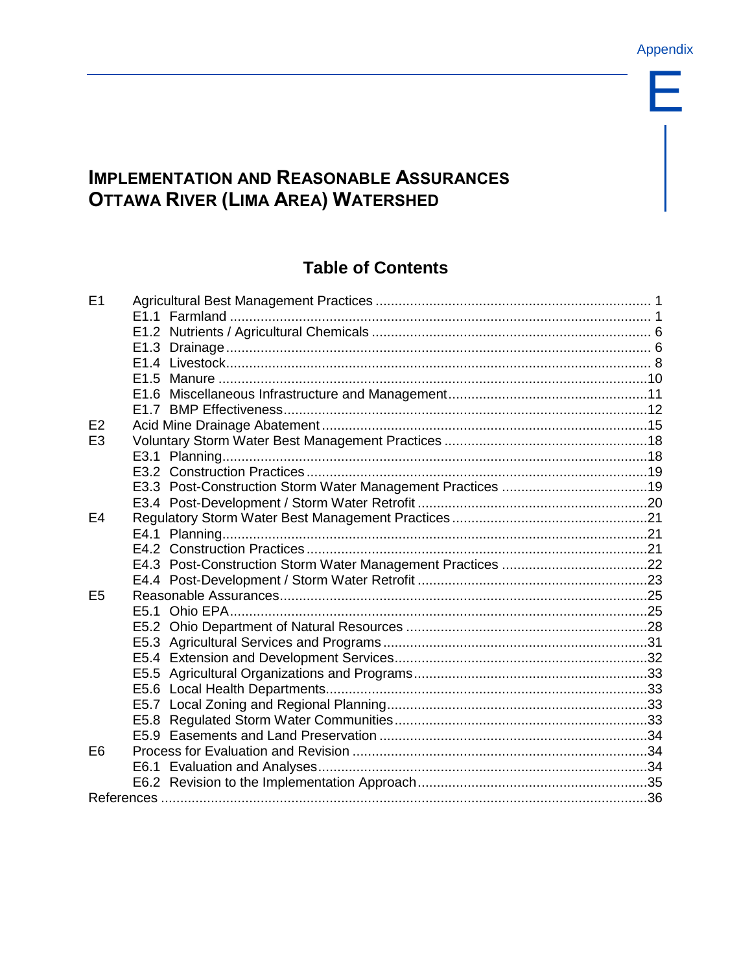Е

# **IMPLEMENTATION AND REASONABLE ASSURANCES OTTAWA RIVER (LIMA AREA) WATERSHED**

# **Table of Contents**

| E1             |  |
|----------------|--|
|                |  |
|                |  |
|                |  |
|                |  |
|                |  |
|                |  |
|                |  |
| E2             |  |
| E <sub>3</sub> |  |
|                |  |
|                |  |
|                |  |
|                |  |
| E4             |  |
|                |  |
|                |  |
|                |  |
|                |  |
| E <sub>5</sub> |  |
|                |  |
|                |  |
|                |  |
|                |  |
|                |  |
|                |  |
|                |  |
|                |  |
|                |  |
| E <sub>6</sub> |  |
|                |  |
|                |  |
|                |  |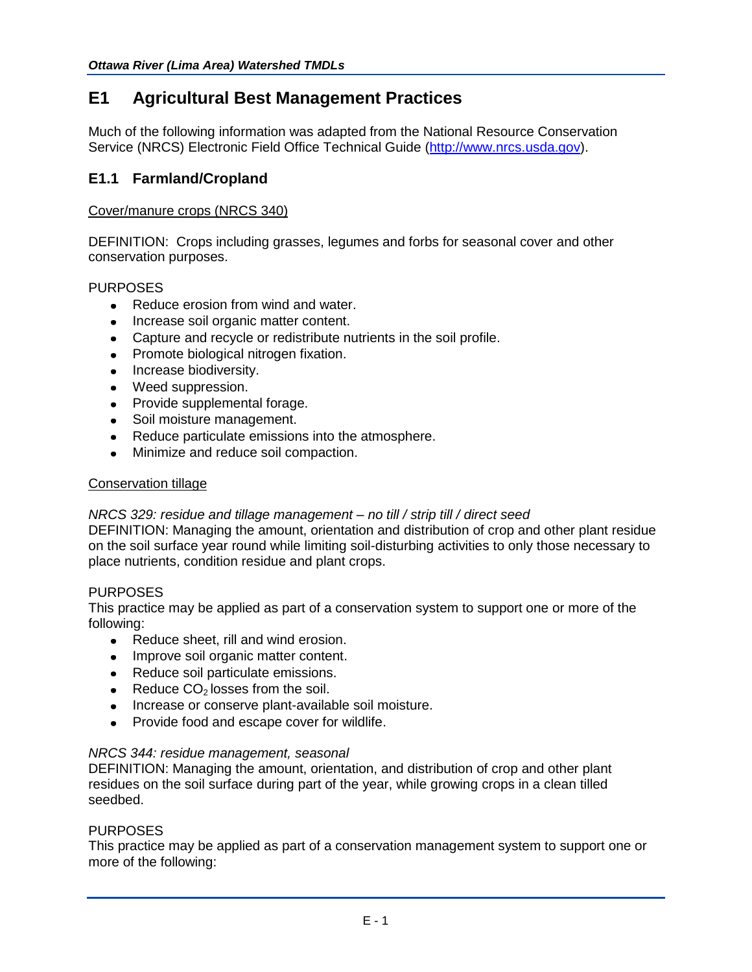## **E1 Agricultural Best Management Practices**

Much of the following information was adapted from the National Resource Conservation Service (NRCS) Electronic Field Office Technical Guide [\(http://www.nrcs.usda.gov\)](http://www.nrcs.usda.gov/).

## **E1.1 Farmland/Cropland**

## Cover/manure crops (NRCS 340)

DEFINITION: Crops including grasses, legumes and forbs for seasonal cover and other conservation purposes.

## PURPOSES

- Reduce erosion from wind and water.
- Increase soil organic matter content.
- Capture and recycle or redistribute nutrients in the soil profile.
- Promote biological nitrogen fixation.
- Increase biodiversity.
- Weed suppression.
- Provide supplemental forage.
- Soil moisture management.
- Reduce particulate emissions into the atmosphere.
- $\bullet$  Minimize and reduce soil compaction.

### Conservation tillage

## *NRCS 329: residue and tillage management – no till / strip till / direct seed*

DEFINITION: Managing the amount, orientation and distribution of crop and other plant residue on the soil surface year round while limiting soil-disturbing activities to only those necessary to place nutrients, condition residue and plant crops.

## PURPOSES

This practice may be applied as part of a conservation system to support one or more of the following:

- Reduce sheet, rill and wind erosion.
- Improve soil organic matter content.
- Reduce soil particulate emissions.
- Reduce  $CO<sub>2</sub>$  losses from the soil.
- Increase or conserve plant-available soil moisture.
- Provide food and escape cover for wildlife.

## *NRCS 344: residue management, seasonal*

DEFINITION: Managing the amount, orientation, and distribution of crop and other plant residues on the soil surface during part of the year, while growing crops in a clean tilled seedbed.

## **PURPOSES**

This practice may be applied as part of a conservation management system to support one or more of the following: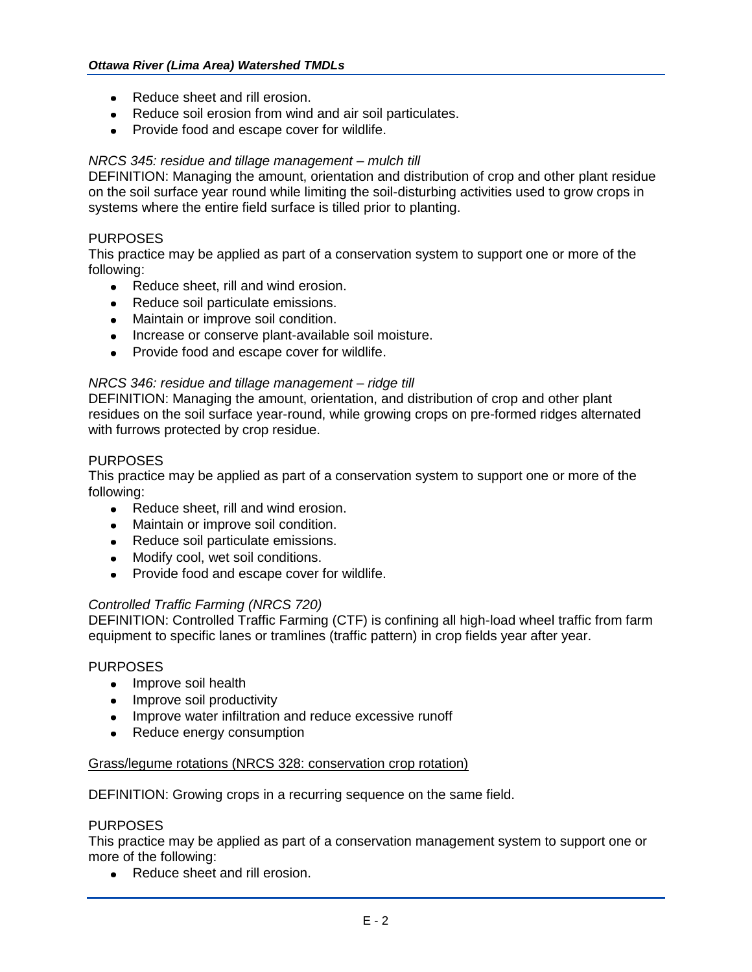- Reduce sheet and rill erosion.
- Reduce soil erosion from wind and air soil particulates.
- Provide food and escape cover for wildlife.

## *NRCS 345: residue and tillage management – mulch till*

DEFINITION: Managing the amount, orientation and distribution of crop and other plant residue on the soil surface year round while limiting the soil-disturbing activities used to grow crops in systems where the entire field surface is tilled prior to planting.

## PURPOSES

This practice may be applied as part of a conservation system to support one or more of the following:

- Reduce sheet, rill and wind erosion.
- Reduce soil particulate emissions.
- Maintain or improve soil condition.
- Increase or conserve plant-available soil moisture.
- Provide food and escape cover for wildlife.

## *NRCS 346: residue and tillage management – ridge till*

DEFINITION: Managing the amount, orientation, and distribution of crop and other plant residues on the soil surface year-round, while growing crops on pre-formed ridges alternated with furrows protected by crop residue.

#### PURPOSES

This practice may be applied as part of a conservation system to support one or more of the following:

- Reduce sheet, rill and wind erosion.
- Maintain or improve soil condition.
- Reduce soil particulate emissions.
- Modify cool, wet soil conditions.
- Provide food and escape cover for wildlife.

## *Controlled Traffic Farming (NRCS 720)*

DEFINITION: Controlled Traffic Farming (CTF) is confining all high-load wheel traffic from farm equipment to specific lanes or tramlines (traffic pattern) in crop fields year after year.

#### PURPOSES

- Improve soil health
- Improve soil productivity
- Improve water infiltration and reduce excessive runoff
- Reduce energy consumption

## Grass/legume rotations (NRCS 328: conservation crop rotation)

DEFINITION: Growing crops in a recurring sequence on the same field.

#### PURPOSES

This practice may be applied as part of a conservation management system to support one or more of the following:

• Reduce sheet and rill erosion.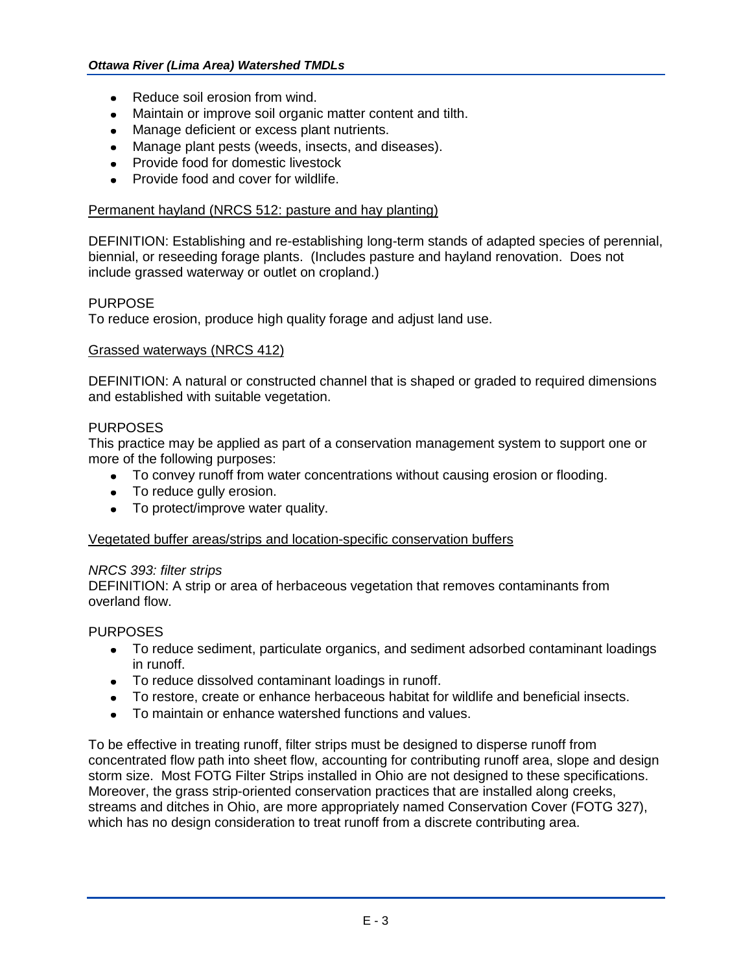- Reduce soil erosion from wind.
- Maintain or improve soil organic matter content and tilth.
- Manage deficient or excess plant nutrients.
- Manage plant pests (weeds, insects, and diseases).
- Provide food for domestic livestock
- Provide food and cover for wildlife.

### Permanent hayland (NRCS 512: pasture and hay planting)

DEFINITION: Establishing and re-establishing long-term stands of adapted species of perennial, biennial, or reseeding forage plants. (Includes pasture and hayland renovation. Does not include grassed waterway or outlet on cropland.)

## PURPOSE

To reduce erosion, produce high quality forage and adjust land use.

#### Grassed waterways (NRCS 412)

DEFINITION: A natural or constructed channel that is shaped or graded to required dimensions and established with suitable vegetation.

#### PURPOSES

This practice may be applied as part of a conservation management system to support one or more of the following purposes:

- To convey runoff from water concentrations without causing erosion or flooding.
- To reduce gully erosion.
- To protect/improve water quality.

## Vegetated buffer areas/strips and location-specific conservation buffers

#### *NRCS 393: filter strips*

DEFINITION: A strip or area of herbaceous vegetation that removes contaminants from overland flow.

## PURPOSES

- To reduce sediment, particulate organics, and sediment adsorbed contaminant loadings in runoff.
- To reduce dissolved contaminant loadings in runoff.
- To restore, create or enhance herbaceous habitat for wildlife and beneficial insects.
- To maintain or enhance watershed functions and values.

To be effective in treating runoff, filter strips must be designed to disperse runoff from concentrated flow path into sheet flow, accounting for contributing runoff area, slope and design storm size. Most FOTG Filter Strips installed in Ohio are not designed to these specifications. Moreover, the grass strip-oriented conservation practices that are installed along creeks, streams and ditches in Ohio, are more appropriately named Conservation Cover (FOTG 327), which has no design consideration to treat runoff from a discrete contributing area.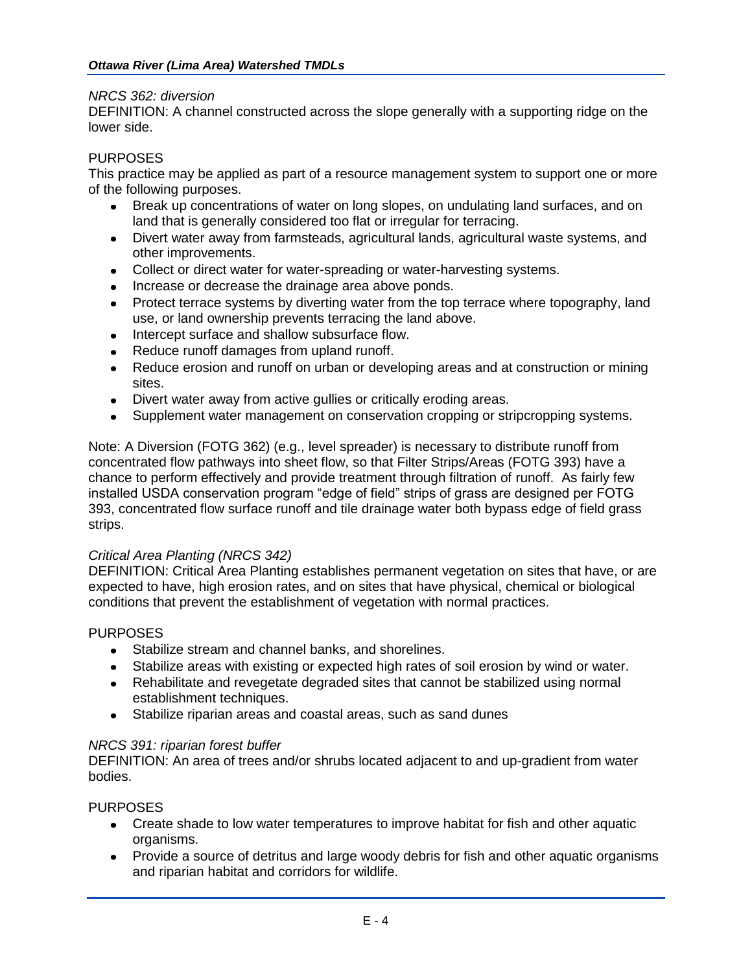## *NRCS 362: diversion*

DEFINITION: A channel constructed across the slope generally with a supporting ridge on the lower side.

## PURPOSES

This practice may be applied as part of a resource management system to support one or more of the following purposes.

- Break up concentrations of water on long slopes, on undulating land surfaces, and on land that is generally considered too flat or irregular for terracing.
- Divert water away from farmsteads, agricultural lands, agricultural waste systems, and other improvements.
- Collect or direct water for water-spreading or water-harvesting systems.
- Increase or decrease the drainage area above ponds.
- Protect terrace systems by diverting water from the top terrace where topography, land use, or land ownership prevents terracing the land above.
- Intercept surface and shallow subsurface flow.
- Reduce runoff damages from upland runoff.
- Reduce erosion and runoff on urban or developing areas and at construction or mining sites.
- Divert water away from active gullies or critically eroding areas.
- Supplement water management on conservation cropping or stripcropping systems.

Note: A Diversion (FOTG 362) (e.g., level spreader) is necessary to distribute runoff from concentrated flow pathways into sheet flow, so that Filter Strips/Areas (FOTG 393) have a chance to perform effectively and provide treatment through filtration of runoff. As fairly few installed USDA conservation program "edge of field" strips of grass are designed per FOTG 393, concentrated flow surface runoff and tile drainage water both bypass edge of field grass strips.

## *Critical Area Planting (NRCS 342)*

DEFINITION: Critical Area Planting establishes permanent vegetation on sites that have, or are expected to have, high erosion rates, and on sites that have physical, chemical or biological conditions that prevent the establishment of vegetation with normal practices.

## PURPOSES

- Stabilize stream and channel banks, and shorelines.
- Stabilize areas with existing or expected high rates of soil erosion by wind or water.
- Rehabilitate and revegetate degraded sites that cannot be stabilized using normal establishment techniques.
- Stabilize riparian areas and coastal areas, such as sand dunes

## *NRCS 391: riparian forest buffer*

DEFINITION: An area of trees and/or shrubs located adjacent to and up-gradient from water bodies.

## PURPOSES

- Create shade to low water temperatures to improve habitat for fish and other aquatic organisms.
- Provide a source of detritus and large woody debris for fish and other aquatic organisms and riparian habitat and corridors for wildlife.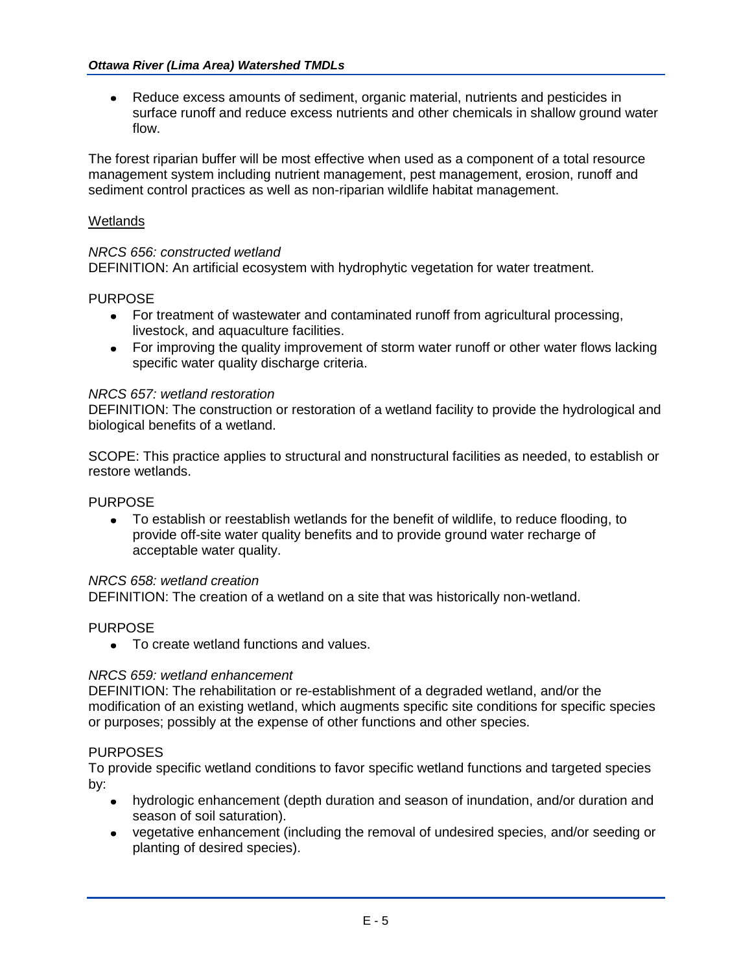Reduce excess amounts of sediment, organic material, nutrients and pesticides in  $\bullet$ surface runoff and reduce excess nutrients and other chemicals in shallow ground water flow.

The forest riparian buffer will be most effective when used as a component of a total resource management system including nutrient management, pest management, erosion, runoff and sediment control practices as well as non-riparian wildlife habitat management.

## **Wetlands**

## *NRCS 656: constructed wetland*

DEFINITION: An artificial ecosystem with hydrophytic vegetation for water treatment.

## PURPOSE

- For treatment of wastewater and contaminated runoff from agricultural processing, livestock, and aquaculture facilities.
- For improving the quality improvement of storm water runoff or other water flows lacking specific water quality discharge criteria.

## *NRCS 657: wetland restoration*

DEFINITION: The construction or restoration of a wetland facility to provide the hydrological and biological benefits of a wetland.

SCOPE: This practice applies to structural and nonstructural facilities as needed, to establish or restore wetlands.

## PURPOSE

To establish or reestablish wetlands for the benefit of wildlife, to reduce flooding, to  $\bullet$ provide off-site water quality benefits and to provide ground water recharge of acceptable water quality.

## *NRCS 658: wetland creation*

DEFINITION: The creation of a wetland on a site that was historically non-wetland.

## PURPOSE

• To create wetland functions and values.

## *NRCS 659: wetland enhancement*

DEFINITION: The rehabilitation or re-establishment of a degraded wetland, and/or the modification of an existing wetland, which augments specific site conditions for specific species or purposes; possibly at the expense of other functions and other species.

## PURPOSES

To provide specific wetland conditions to favor specific wetland functions and targeted species by:

- hydrologic enhancement (depth duration and season of inundation, and/or duration and season of soil saturation).
- vegetative enhancement (including the removal of undesired species, and/or seeding or planting of desired species).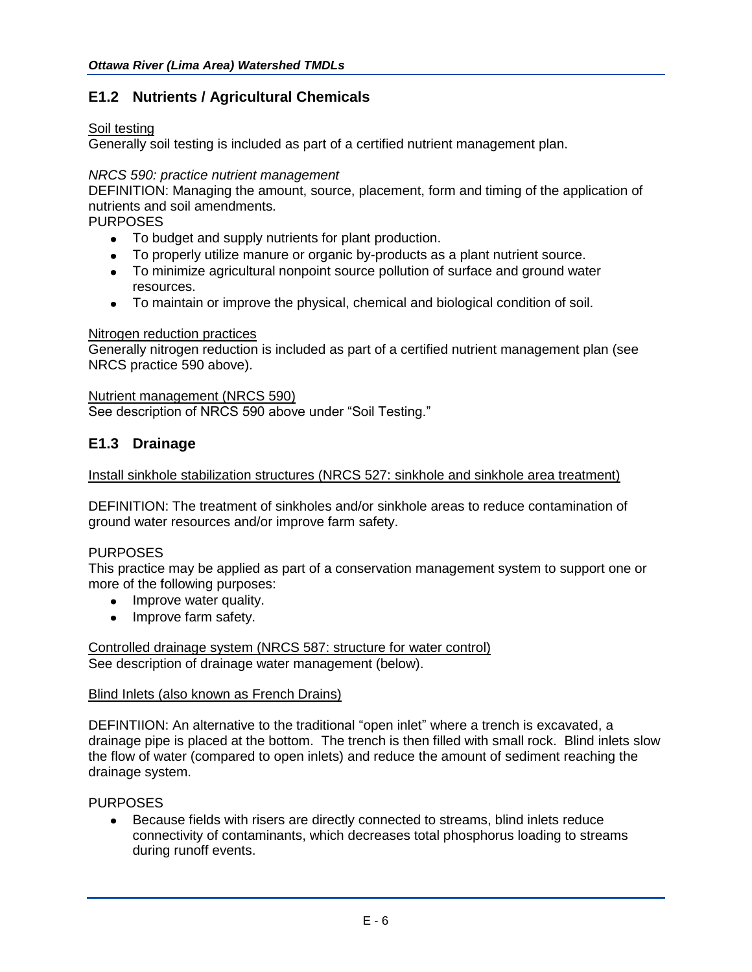## **E1.2 Nutrients / Agricultural Chemicals**

## Soil testing

Generally soil testing is included as part of a certified nutrient management plan.

## *NRCS 590: practice nutrient management*

DEFINITION: Managing the amount, source, placement, form and timing of the application of nutrients and soil amendments.

PURPOSES

- To budget and supply nutrients for plant production.
- To properly utilize manure or organic by-products as a plant nutrient source.
- To minimize agricultural nonpoint source pollution of surface and ground water resources.
- To maintain or improve the physical, chemical and biological condition of soil.

## Nitrogen reduction practices

Generally nitrogen reduction is included as part of a certified nutrient management plan (see NRCS practice 590 above).

## Nutrient management (NRCS 590)

See description of NRCS 590 above under "Soil Testing."

## **E1.3 Drainage**

## Install sinkhole stabilization structures (NRCS 527: sinkhole and sinkhole area treatment)

DEFINITION: The treatment of sinkholes and/or sinkhole areas to reduce contamination of ground water resources and/or improve farm safety.

## PURPOSES

This practice may be applied as part of a conservation management system to support one or more of the following purposes:

- Improve water quality.
- Improve farm safety.

Controlled drainage system (NRCS 587: structure for water control) See description of drainage water management (below).

## Blind Inlets (also known as French Drains)

DEFINTIION: An alternative to the traditional "open inlet" where a trench is excavated, a drainage pipe is placed at the bottom. The trench is then filled with small rock. Blind inlets slow the flow of water (compared to open inlets) and reduce the amount of sediment reaching the drainage system.

## PURPOSES

Because fields with risers are directly connected to streams, blind inlets reduce connectivity of contaminants, which decreases total phosphorus loading to streams during runoff events.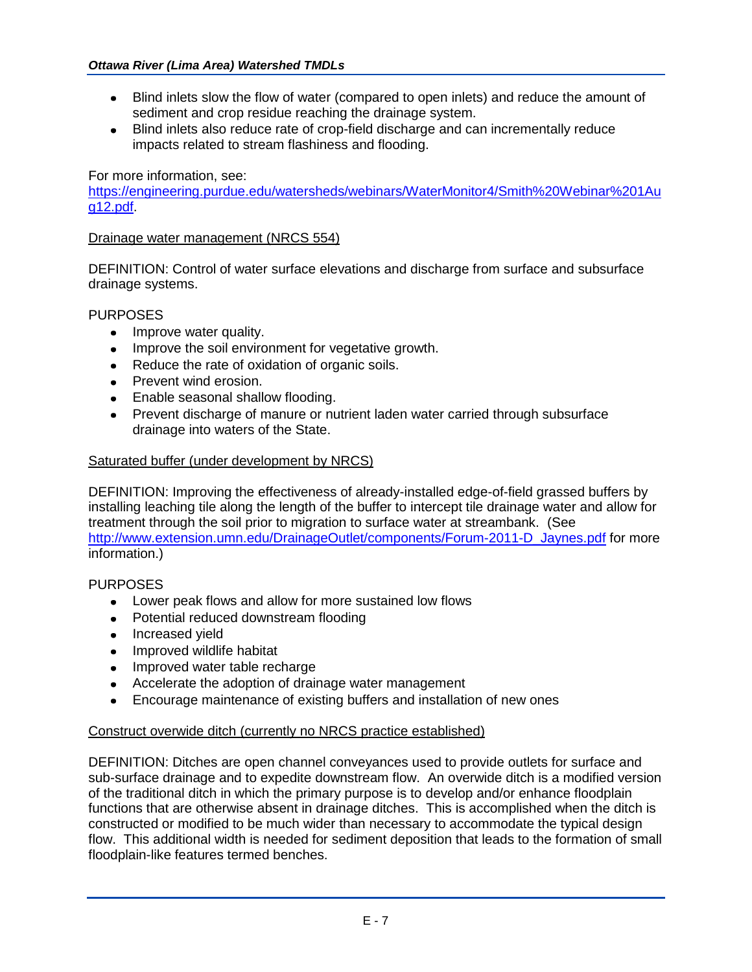- Blind inlets slow the flow of water (compared to open inlets) and reduce the amount of  $\bullet$ sediment and crop residue reaching the drainage system.
- Blind inlets also reduce rate of crop-field discharge and can incrementally reduce impacts related to stream flashiness and flooding.

For more information, see:

[https://engineering.purdue.edu/watersheds/webinars/WaterMonitor4/Smith%20Webinar%201Au](https://engineering.purdue.edu/watersheds/webinars/WaterMonitor4/Smith%20Webinar%201Aug12.pdf) [g12.pdf.](https://engineering.purdue.edu/watersheds/webinars/WaterMonitor4/Smith%20Webinar%201Aug12.pdf)

## Drainage water management (NRCS 554)

DEFINITION: Control of water surface elevations and discharge from surface and subsurface drainage systems.

## PURPOSES

- Improve water quality.
- Improve the soil environment for vegetative growth.
- Reduce the rate of oxidation of organic soils.
- Prevent wind erosion.
- Enable seasonal shallow flooding.
- Prevent discharge of manure or nutrient laden water carried through subsurface drainage into waters of the State.

## Saturated buffer (under development by NRCS)

DEFINITION: Improving the effectiveness of already-installed edge-of-field grassed buffers by installing leaching tile along the length of the buffer to intercept tile drainage water and allow for treatment through the soil prior to migration to surface water at streambank. (See [http://www.extension.umn.edu/DrainageOutlet/components/Forum-2011-D\\_Jaynes.pdf](http://www.extension.umn.edu/DrainageOutlet/components/Forum-2011-D_Jaynes.pdf) for more information.)

## PURPOSES

- Lower peak flows and allow for more sustained low flows
- Potential reduced downstream flooding
- Increased yield
- Improved wildlife habitat
- Improved water table recharge
- Accelerate the adoption of drainage water management
- Encourage maintenance of existing buffers and installation of new ones

## Construct overwide ditch (currently no NRCS practice established)

DEFINITION: Ditches are open channel conveyances used to provide outlets for surface and sub-surface drainage and to expedite downstream flow. An overwide ditch is a modified version of the traditional ditch in which the primary purpose is to develop and/or enhance floodplain functions that are otherwise absent in drainage ditches. This is accomplished when the ditch is constructed or modified to be much wider than necessary to accommodate the typical design flow. This additional width is needed for sediment deposition that leads to the formation of small floodplain-like features termed benches.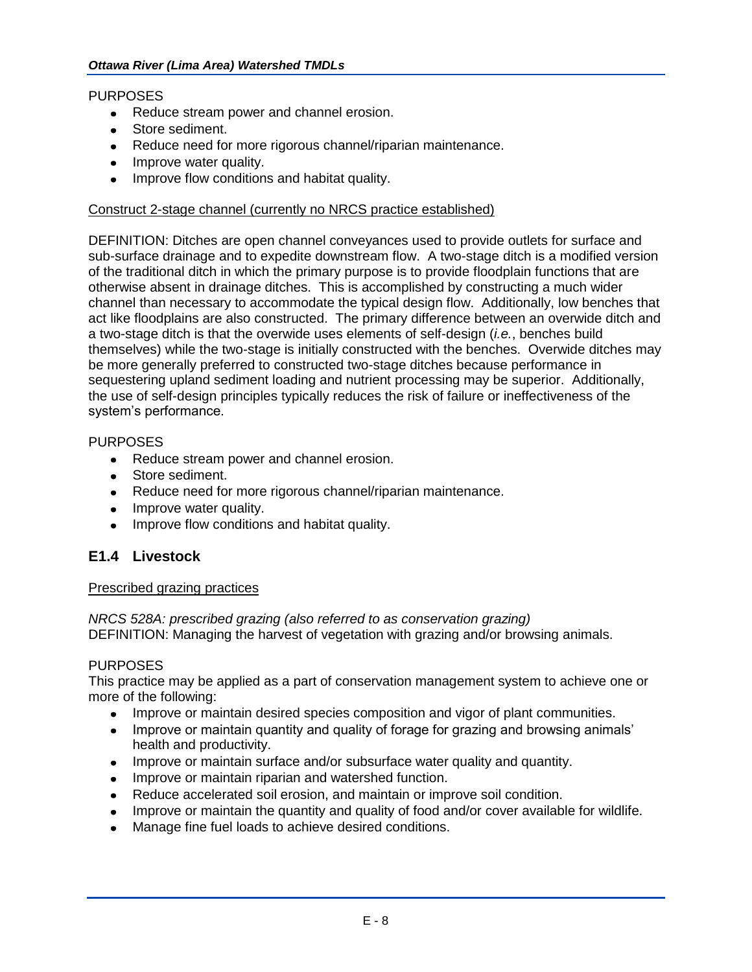## PURPOSES

- Reduce stream power and channel erosion.
- Store sediment.
- Reduce need for more rigorous channel/riparian maintenance.
- Improve water quality.
- Improve flow conditions and habitat quality.

## Construct 2-stage channel (currently no NRCS practice established)

DEFINITION: Ditches are open channel conveyances used to provide outlets for surface and sub-surface drainage and to expedite downstream flow. A two-stage ditch is a modified version of the traditional ditch in which the primary purpose is to provide floodplain functions that are otherwise absent in drainage ditches. This is accomplished by constructing a much wider channel than necessary to accommodate the typical design flow. Additionally, low benches that act like floodplains are also constructed. The primary difference between an overwide ditch and a two-stage ditch is that the overwide uses elements of self-design (*i.e.*, benches build themselves) while the two-stage is initially constructed with the benches. Overwide ditches may be more generally preferred to constructed two-stage ditches because performance in sequestering upland sediment loading and nutrient processing may be superior. Additionally, the use of self-design principles typically reduces the risk of failure or ineffectiveness of the system's performance.

## PURPOSES

- Reduce stream power and channel erosion.
- **Store sediment.**
- Reduce need for more rigorous channel/riparian maintenance.
- Improve water quality.
- Improve flow conditions and habitat quality.

## **E1.4 Livestock**

## Prescribed grazing practices

*NRCS 528A: prescribed grazing (also referred to as conservation grazing)* DEFINITION: Managing the harvest of vegetation with grazing and/or browsing animals.

## PURPOSES

This practice may be applied as a part of conservation management system to achieve one or more of the following:

- Improve or maintain desired species composition and vigor of plant communities.
- Improve or maintain quantity and quality of forage for grazing and browsing animals' health and productivity.
- Improve or maintain surface and/or subsurface water quality and quantity.
- Improve or maintain riparian and watershed function.
- Reduce accelerated soil erosion, and maintain or improve soil condition.
- Improve or maintain the quantity and quality of food and/or cover available for wildlife.
- Manage fine fuel loads to achieve desired conditions.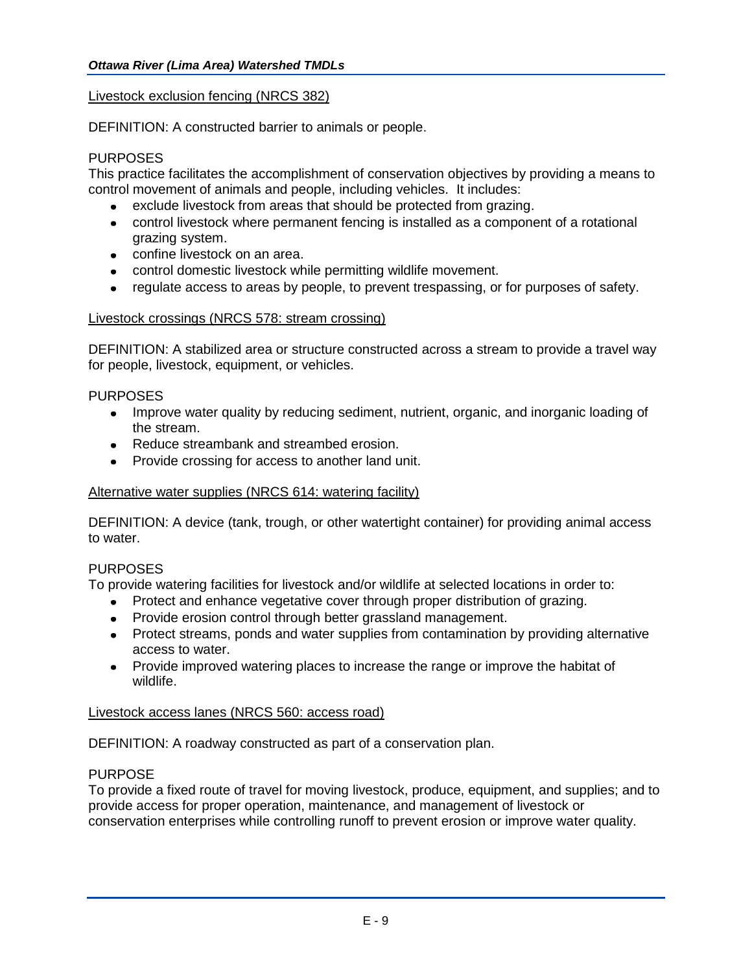## Livestock exclusion fencing (NRCS 382)

DEFINITION: A constructed barrier to animals or people.

## PURPOSES

This practice facilitates the accomplishment of conservation objectives by providing a means to control movement of animals and people, including vehicles. It includes:

- exclude livestock from areas that should be protected from grazing.
- control livestock where permanent fencing is installed as a component of a rotational grazing system.
- confine livestock on an area.
- control domestic livestock while permitting wildlife movement.
- regulate access to areas by people, to prevent trespassing, or for purposes of safety.  $\bullet$  .

## Livestock crossings (NRCS 578: stream crossing)

DEFINITION: A stabilized area or structure constructed across a stream to provide a travel way for people, livestock, equipment, or vehicles.

## PURPOSES

- Improve water quality by reducing sediment, nutrient, organic, and inorganic loading of the stream.
- Reduce streambank and streambed erosion.
- Provide crossing for access to another land unit.

## Alternative water supplies (NRCS 614: watering facility)

DEFINITION: A device (tank, trough, or other watertight container) for providing animal access to water.

## PURPOSES

To provide watering facilities for livestock and/or wildlife at selected locations in order to:

- Protect and enhance vegetative cover through proper distribution of grazing.
- Provide erosion control through better grassland management.
- Protect streams, ponds and water supplies from contamination by providing alternative access to water.
- Provide improved watering places to increase the range or improve the habitat of wildlife.

## Livestock access lanes (NRCS 560: access road)

DEFINITION: A roadway constructed as part of a conservation plan.

## PURPOSE

To provide a fixed route of travel for moving livestock, produce, equipment, and supplies; and to provide access for proper operation, maintenance, and management of livestock or conservation enterprises while controlling runoff to prevent erosion or improve water quality.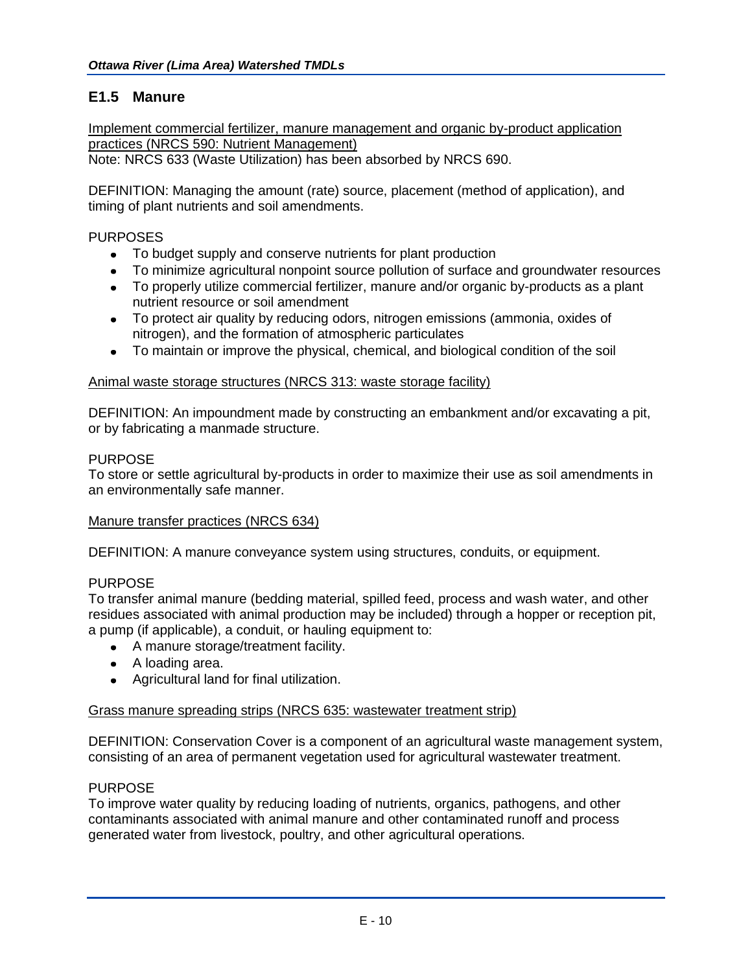## **E1.5 Manure**

Implement commercial fertilizer, manure management and organic by-product application practices (NRCS 590: Nutrient Management) Note: NRCS 633 (Waste Utilization) has been absorbed by NRCS 690.

DEFINITION: Managing the amount (rate) source, placement (method of application), and timing of plant nutrients and soil amendments.

## PURPOSES

- To budget supply and conserve nutrients for plant production
- To minimize agricultural nonpoint source pollution of surface and groundwater resources
- To properly utilize commercial fertilizer, manure and/or organic by-products as a plant nutrient resource or soil amendment
- To protect air quality by reducing odors, nitrogen emissions (ammonia, oxides of nitrogen), and the formation of atmospheric particulates
- To maintain or improve the physical, chemical, and biological condition of the soil

## Animal waste storage structures (NRCS 313: waste storage facility)

DEFINITION: An impoundment made by constructing an embankment and/or excavating a pit, or by fabricating a manmade structure.

## PURPOSE

To store or settle agricultural by-products in order to maximize their use as soil amendments in an environmentally safe manner.

## Manure transfer practices (NRCS 634)

DEFINITION: A manure conveyance system using structures, conduits, or equipment.

## PURPOSE

To transfer animal manure (bedding material, spilled feed, process and wash water, and other residues associated with animal production may be included) through a hopper or reception pit, a pump (if applicable), a conduit, or hauling equipment to:

- A manure storage/treatment facility.
- A loading area.
- Agricultural land for final utilization.

## Grass manure spreading strips (NRCS 635: wastewater treatment strip)

DEFINITION: Conservation Cover is a component of an agricultural waste management system, consisting of an area of permanent vegetation used for agricultural wastewater treatment.

## PURPOSE

To improve water quality by reducing loading of nutrients, organics, pathogens, and other contaminants associated with animal manure and other contaminated runoff and process generated water from livestock, poultry, and other agricultural operations.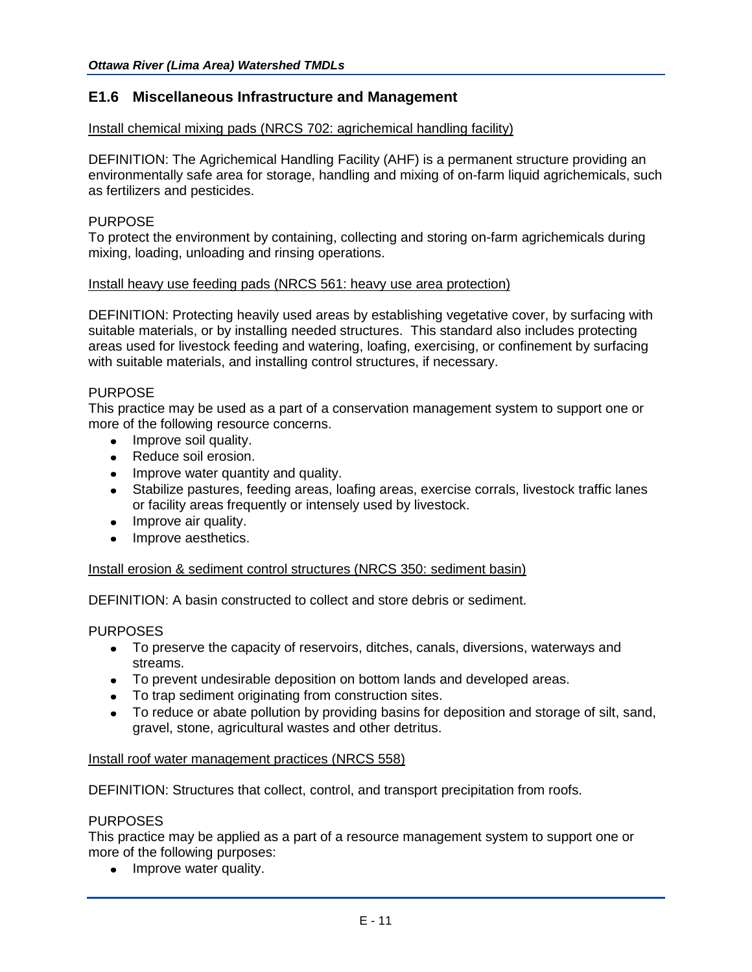## **E1.6 Miscellaneous Infrastructure and Management**

#### Install chemical mixing pads (NRCS 702: agrichemical handling facility)

DEFINITION: The Agrichemical Handling Facility (AHF) is a permanent structure providing an environmentally safe area for storage, handling and mixing of on-farm liquid agrichemicals, such as fertilizers and pesticides.

#### PURPOSE

To protect the environment by containing, collecting and storing on-farm agrichemicals during mixing, loading, unloading and rinsing operations.

#### Install heavy use feeding pads (NRCS 561: heavy use area protection)

DEFINITION: Protecting heavily used areas by establishing vegetative cover, by surfacing with suitable materials, or by installing needed structures. This standard also includes protecting areas used for livestock feeding and watering, loafing, exercising, or confinement by surfacing with suitable materials, and installing control structures, if necessary.

#### PURPOSE

This practice may be used as a part of a conservation management system to support one or more of the following resource concerns.

- Improve soil quality.
- Reduce soil erosion.
- Improve water quantity and quality.
- Stabilize pastures, feeding areas, loafing areas, exercise corrals, livestock traffic lanes or facility areas frequently or intensely used by livestock.
- Improve air quality.
- Improve aesthetics.

#### Install erosion & sediment control structures (NRCS 350: sediment basin)

DEFINITION: A basin constructed to collect and store debris or sediment.

## PURPOSES

- To preserve the capacity of reservoirs, ditches, canals, diversions, waterways and streams.
- To prevent undesirable deposition on bottom lands and developed areas.
- To trap sediment originating from construction sites.
- To reduce or abate pollution by providing basins for deposition and storage of silt, sand, gravel, stone, agricultural wastes and other detritus.

#### Install roof water management practices (NRCS 558)

DEFINITION: Structures that collect, control, and transport precipitation from roofs.

#### PURPOSES

This practice may be applied as a part of a resource management system to support one or more of the following purposes:

• Improve water quality.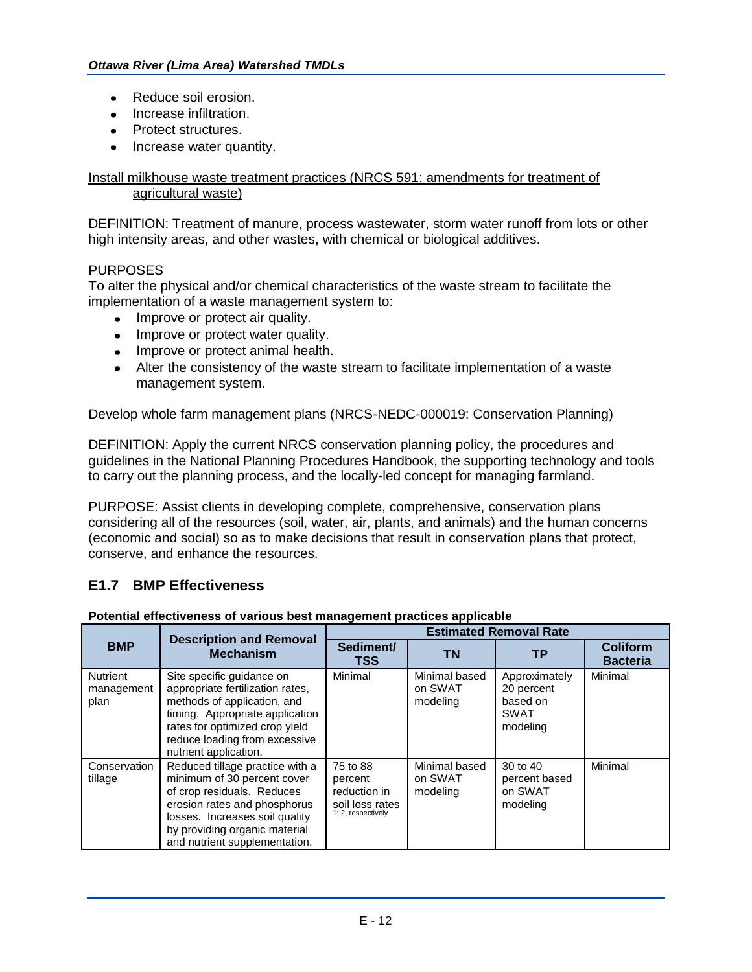- Reduce soil erosion.  $\bullet$
- Increase infiltration.
- Protect structures.
- Increase water quantity.

## Install milkhouse waste treatment practices (NRCS 591: amendments for treatment of agricultural waste)

DEFINITION: Treatment of manure, process wastewater, storm water runoff from lots or other high intensity areas, and other wastes, with chemical or biological additives.

## PURPOSES

To alter the physical and/or chemical characteristics of the waste stream to facilitate the implementation of a waste management system to:

- Improve or protect air quality.
- Improve or protect water quality.
- Improve or protect animal health.
- Alter the consistency of the waste stream to facilitate implementation of a waste management system.

## Develop whole farm management plans (NRCS-NEDC-000019: Conservation Planning)

DEFINITION: Apply the current NRCS conservation planning policy, the procedures and guidelines in the National Planning Procedures Handbook, the supporting technology and tools to carry out the planning process, and the locally-led concept for managing farmland.

PURPOSE: Assist clients in developing complete, comprehensive, conservation plans considering all of the resources (soil, water, air, plants, and animals) and the human concerns (economic and social) so as to make decisions that result in conservation plans that protect, conserve, and enhance the resources.

## **E1.7 BMP Effectiveness**

#### **Potential effectiveness of various best management practices applicable**

|                                       | <b>Description and Removal</b><br><b>Mechanism</b>                                                                                                                                                                               | <b>Estimated Removal Rate</b>                                                |                                      |                                                                    |                                    |
|---------------------------------------|----------------------------------------------------------------------------------------------------------------------------------------------------------------------------------------------------------------------------------|------------------------------------------------------------------------------|--------------------------------------|--------------------------------------------------------------------|------------------------------------|
| <b>BMP</b>                            |                                                                                                                                                                                                                                  | Sediment/<br>TSS                                                             | ΤN                                   | TР                                                                 | <b>Coliform</b><br><b>Bacteria</b> |
| <b>Nutrient</b><br>management<br>plan | Site specific guidance on<br>appropriate fertilization rates,<br>methods of application, and<br>timing. Appropriate application<br>rates for optimized crop yield<br>reduce loading from excessive<br>nutrient application.      | Minimal                                                                      | Minimal based<br>on SWAT<br>modeling | Approximately<br>20 percent<br>based on<br><b>SWAT</b><br>modeling | Minimal                            |
| Conservation<br>tillage               | Reduced tillage practice with a<br>minimum of 30 percent cover<br>of crop residuals. Reduces<br>erosion rates and phosphorus<br>losses. Increases soil quality<br>by providing organic material<br>and nutrient supplementation. | 75 to 88<br>percent<br>reduction in<br>soil loss rates<br>1; 2, respectively | Minimal based<br>on SWAT<br>modeling | 30 to 40<br>percent based<br>on SWAT<br>modeling                   | Minimal                            |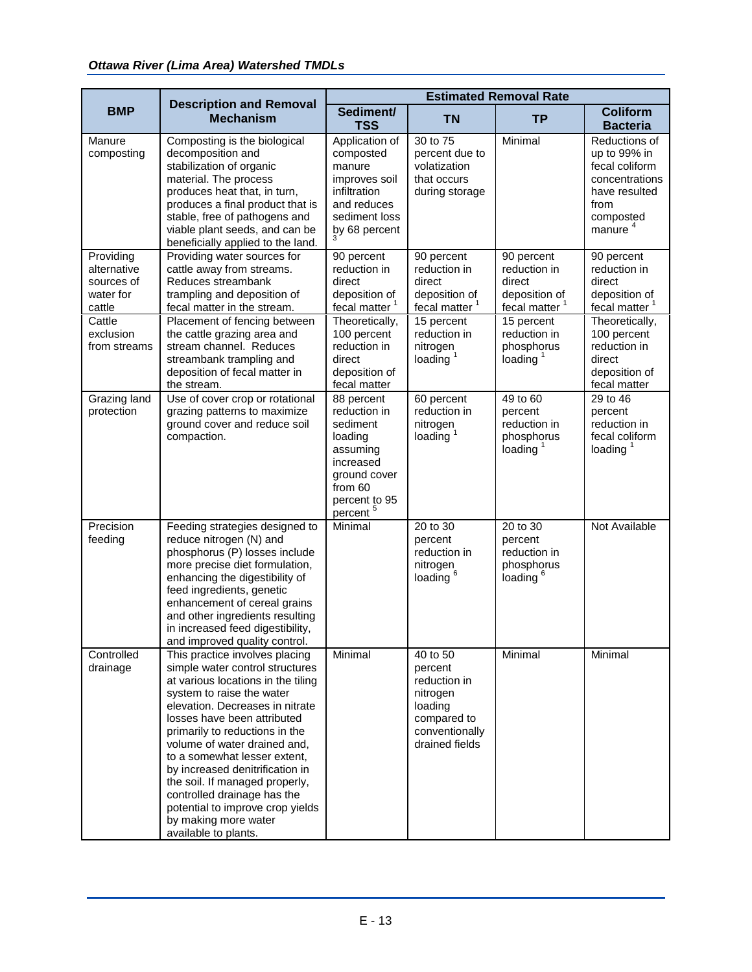|                                                               | <b>Description and Removal</b><br><b>Mechanism</b>                                                                                                                                                                                                                                                                                                                                                                                                                                               | <b>Estimated Removal Rate</b>                                                                                                                  |                                                                                                               |                                                                                    |                                                                                                                                |
|---------------------------------------------------------------|--------------------------------------------------------------------------------------------------------------------------------------------------------------------------------------------------------------------------------------------------------------------------------------------------------------------------------------------------------------------------------------------------------------------------------------------------------------------------------------------------|------------------------------------------------------------------------------------------------------------------------------------------------|---------------------------------------------------------------------------------------------------------------|------------------------------------------------------------------------------------|--------------------------------------------------------------------------------------------------------------------------------|
| <b>BMP</b>                                                    |                                                                                                                                                                                                                                                                                                                                                                                                                                                                                                  | Sediment/<br><b>TSS</b>                                                                                                                        | <b>TN</b>                                                                                                     | <b>TP</b>                                                                          | <b>Coliform</b><br><b>Bacteria</b>                                                                                             |
| Manure<br>composting                                          | Composting is the biological<br>decomposition and<br>stabilization of organic<br>material. The process<br>produces heat that, in turn,<br>produces a final product that is<br>stable, free of pathogens and<br>viable plant seeds, and can be<br>beneficially applied to the land.                                                                                                                                                                                                               | Application of<br>composted<br>manure<br>improves soil<br>infiltration<br>and reduces<br>sediment loss<br>by 68 percent                        | 30 to 75<br>percent due to<br>volatization<br>that occurs<br>during storage                                   | Minimal                                                                            | Reductions of<br>up to 99% in<br>fecal coliform<br>concentrations<br>have resulted<br>from<br>composted<br>manure <sup>4</sup> |
| Providing<br>alternative<br>sources of<br>water for<br>cattle | Providing water sources for<br>cattle away from streams.<br>Reduces streambank<br>trampling and deposition of<br>fecal matter in the stream.                                                                                                                                                                                                                                                                                                                                                     | 90 percent<br>reduction in<br>direct<br>deposition of<br>fecal matter <sup>1</sup>                                                             | 90 percent<br>reduction in<br>direct<br>deposition of<br>fecal matter <sup>1</sup>                            | 90 percent<br>reduction in<br>direct<br>deposition of<br>fecal matter <sup>1</sup> | 90 percent<br>reduction in<br>direct<br>deposition of<br>fecal matter <sup>1</sup>                                             |
| Cattle<br>exclusion<br>from streams                           | Placement of fencing between<br>the cattle grazing area and<br>stream channel. Reduces<br>streambank trampling and<br>deposition of fecal matter in<br>the stream.                                                                                                                                                                                                                                                                                                                               | Theoretically,<br>100 percent<br>reduction in<br>direct<br>deposition of<br>fecal matter                                                       | 15 percent<br>reduction in<br>nitrogen<br>loading $1$                                                         | 15 percent<br>reduction in<br>phosphorus<br>loading $1$                            | Theoretically,<br>100 percent<br>reduction in<br>direct<br>deposition of<br>fecal matter                                       |
| Grazing land<br>protection                                    | Use of cover crop or rotational<br>grazing patterns to maximize<br>ground cover and reduce soil<br>compaction.                                                                                                                                                                                                                                                                                                                                                                                   | 88 percent<br>reduction in<br>sediment<br>loading<br>assuming<br>increased<br>ground cover<br>from 60<br>percent to 95<br>percent <sup>5</sup> | 60 percent<br>reduction in<br>nitrogen<br>loading $1$                                                         | 49 to 60<br>percent<br>reduction in<br>phosphorus<br>loading $1$                   | 29 to 46<br>percent<br>reduction in<br>fecal coliform<br>loading $1$                                                           |
| Precision<br>feeding                                          | Feeding strategies designed to<br>reduce nitrogen (N) and<br>phosphorus (P) losses include<br>more precise diet formulation,<br>enhancing the digestibility of<br>feed ingredients, genetic<br>enhancement of cereal grains<br>and other ingredients resulting<br>in increased feed digestibility,<br>and improved quality control.                                                                                                                                                              | Minimal                                                                                                                                        | 20 to 30<br>percent<br>reduction in<br>nitrogen<br>loading <sup>6</sup>                                       | 20 to 30<br>percent<br>reduction in<br>phosphorus<br>loading <sup>6</sup>          | Not Available                                                                                                                  |
| Controlled<br>drainage                                        | This practice involves placing<br>simple water control structures<br>at various locations in the tiling<br>system to raise the water<br>elevation. Decreases in nitrate<br>losses have been attributed<br>primarily to reductions in the<br>volume of water drained and,<br>to a somewhat lesser extent,<br>by increased denitrification in<br>the soil. If managed properly,<br>controlled drainage has the<br>potential to improve crop yields<br>by making more water<br>available to plants. | Minimal                                                                                                                                        | 40 to 50<br>percent<br>reduction in<br>nitrogen<br>loading<br>compared to<br>conventionally<br>drained fields | Minimal                                                                            | Minimal                                                                                                                        |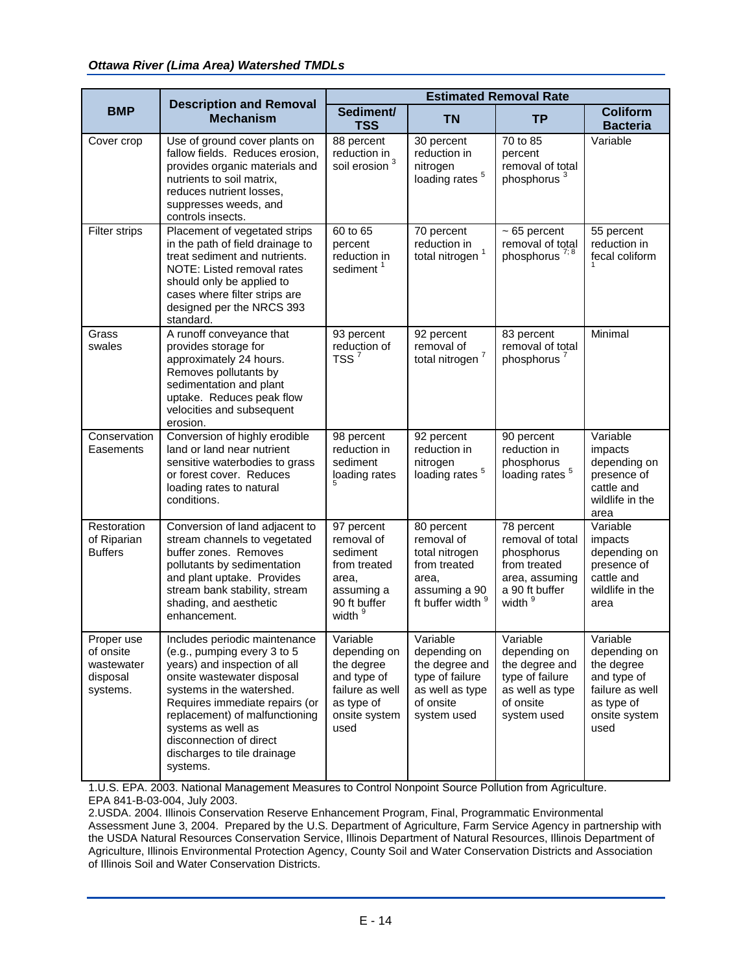|                                                               | <b>Description and Removal</b><br><b>Mechanism</b>                                                                                                                                                                                                                                                                      | <b>Estimated Removal Rate</b>                                                                                   |                                                                                                              |                                                                                                                        |                                                                                                                 |
|---------------------------------------------------------------|-------------------------------------------------------------------------------------------------------------------------------------------------------------------------------------------------------------------------------------------------------------------------------------------------------------------------|-----------------------------------------------------------------------------------------------------------------|--------------------------------------------------------------------------------------------------------------|------------------------------------------------------------------------------------------------------------------------|-----------------------------------------------------------------------------------------------------------------|
| <b>BMP</b>                                                    |                                                                                                                                                                                                                                                                                                                         | Sediment/<br><b>TSS</b>                                                                                         | <b>TN</b>                                                                                                    | <b>TP</b>                                                                                                              | <b>Coliform</b><br><b>Bacteria</b>                                                                              |
| Cover crop                                                    | Use of ground cover plants on<br>fallow fields. Reduces erosion,<br>provides organic materials and<br>nutrients to soil matrix,<br>reduces nutrient losses,<br>suppresses weeds, and<br>controls insects.                                                                                                               | 88 percent<br>reduction in $\frac{3}{2}$<br>soil erosion                                                        | 30 percent<br>reduction in<br>nitrogen<br>loading rates <sup>5</sup>                                         | 70 to 85<br>percent<br>removal of total<br>phosphorus <sup>3</sup>                                                     | Variable                                                                                                        |
| <b>Filter strips</b>                                          | Placement of vegetated strips<br>in the path of field drainage to<br>treat sediment and nutrients.<br>NOTE: Listed removal rates<br>should only be applied to<br>cases where filter strips are<br>designed per the NRCS 393<br>standard.                                                                                | 60 to 65<br>percent<br>reduction in<br>sediment <sup>1</sup>                                                    | 70 percent<br>reduction in<br>total nitrogen <sup>1</sup>                                                    | $~5$ percent<br>removal of total<br>phosphorus <sup>7;8</sup>                                                          | 55 percent<br>reduction in<br>fecal coliform                                                                    |
| Grass<br>swales                                               | A runoff conveyance that<br>provides storage for<br>approximately 24 hours.<br>Removes pollutants by<br>sedimentation and plant<br>uptake. Reduces peak flow<br>velocities and subsequent<br>erosion.                                                                                                                   | 93 percent<br>reduction of<br>TSS <sup>7</sup>                                                                  | 92 percent<br>removal of<br>total nitrogen <sup>7</sup>                                                      | 83 percent<br>removal of total<br>phosphorus <sup>7</sup>                                                              | Minimal                                                                                                         |
| Conservation<br>Easements                                     | Conversion of highly erodible<br>land or land near nutrient<br>sensitive waterbodies to grass<br>or forest cover. Reduces<br>loading rates to natural<br>conditions.                                                                                                                                                    | 98 percent<br>reduction in<br>sediment<br>loading rates                                                         | 92 percent<br>reduction in<br>nitrogen<br>loading rates <sup>5</sup>                                         | 90 percent<br>reduction in<br>phosphorus<br>loading rates <sup>5</sup>                                                 | Variable<br>impacts<br>depending on<br>presence of<br>cattle and<br>wildlife in the<br>area                     |
| Restoration<br>of Riparian<br><b>Buffers</b>                  | Conversion of land adjacent to<br>stream channels to vegetated<br>buffer zones. Removes<br>pollutants by sedimentation<br>and plant uptake. Provides<br>stream bank stability, stream<br>shading, and aesthetic<br>enhancement.                                                                                         | 97 percent<br>removal of<br>sediment<br>from treated<br>area,<br>assuming a<br>90 ft buffer<br>width s          | 80 percent<br>removal of<br>total nitrogen<br>from treated<br>area,<br>assuming a 90<br>ft buffer width 9    | 78 percent<br>removal of total<br>phosphorus<br>from treated<br>area, assuming<br>a 90 ft buffer<br>width <sup>9</sup> | Variable<br>impacts<br>depending on<br>presence of<br>cattle and<br>wildlife in the<br>area                     |
| Proper use<br>of onsite<br>wastewater<br>disposal<br>systems. | Includes periodic maintenance<br>(e.g., pumping every 3 to 5<br>years) and inspection of all<br>onsite wastewater disposal<br>systems in the watershed.<br>Requires immediate repairs (or<br>replacement) of malfunctioning<br>systems as well as<br>disconnection of direct<br>discharges to tile drainage<br>systems. | Variable<br>depending on<br>the degree<br>and type of<br>failure as well<br>as type of<br>onsite system<br>used | Variable<br>depending on<br>the degree and<br>type of failure<br>as well as type<br>of onsite<br>system used | Variable<br>depending on<br>the degree and<br>type of failure<br>as well as type<br>of onsite<br>system used           | Variable<br>depending on<br>the degree<br>and type of<br>failure as well<br>as type of<br>onsite system<br>used |

1.U.S. EPA. 2003. National Management Measures to Control Nonpoint Source Pollution from Agriculture. EPA 841-B-03-004, July 2003.

2.USDA. 2004. Illinois Conservation Reserve Enhancement Program, Final, Programmatic Environmental Assessment June 3, 2004. Prepared by the U.S. Department of Agriculture, Farm Service Agency in partnership with the USDA Natural Resources Conservation Service, Illinois Department of Natural Resources, Illinois Department of Agriculture, Illinois Environmental Protection Agency, County Soil and Water Conservation Districts and Association of Illinois Soil and Water Conservation Districts.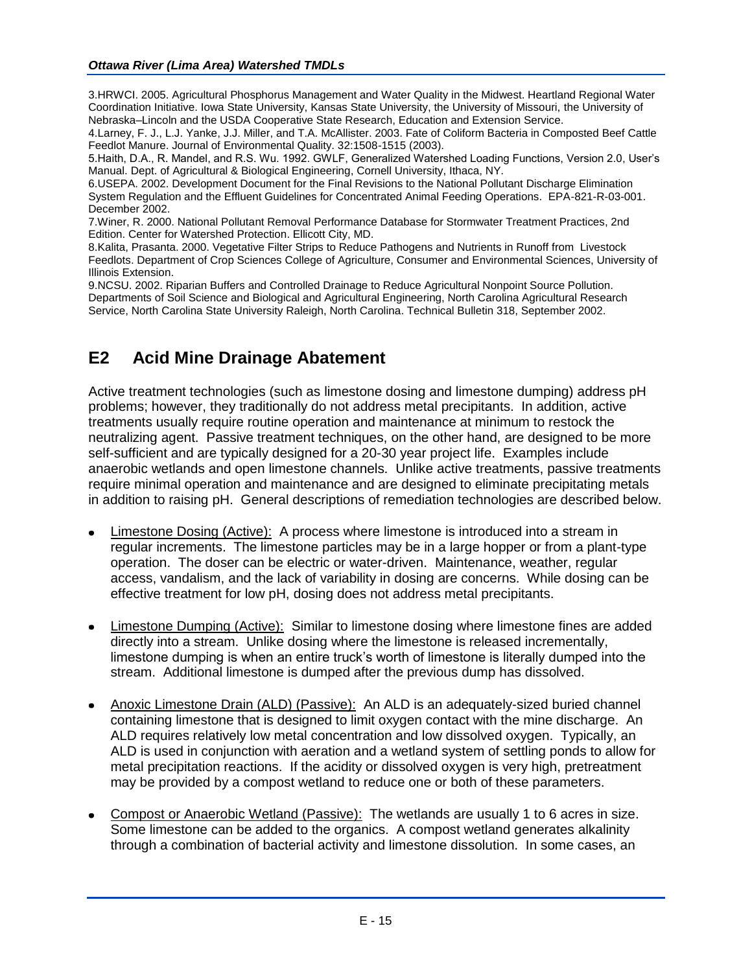3.HRWCI. 2005. Agricultural Phosphorus Management and Water Quality in the Midwest. Heartland Regional Water Coordination Initiative. Iowa State University, Kansas State University, the University of Missouri, the University of Nebraska–Lincoln and the USDA Cooperative State Research, Education and Extension Service.

4.Larney, F. J., L.J. Yanke, J.J. Miller, and T.A. McAllister. 2003. Fate of Coliform Bacteria in Composted Beef Cattle Feedlot Manure. Journal of Environmental Quality. 32:1508-1515 (2003).

5.Haith, D.A., R. Mandel, and R.S. Wu. 1992. GWLF, Generalized Watershed Loading Functions, Version 2.0, User's Manual. Dept. of Agricultural & Biological Engineering, Cornell University, Ithaca, NY.

6.USEPA. 2002. Development Document for the Final Revisions to the National Pollutant Discharge Elimination System Regulation and the Effluent Guidelines for Concentrated Animal Feeding Operations. EPA-821-R-03-001. December 2002.

7.Winer, R. 2000. National Pollutant Removal Performance Database for Stormwater Treatment Practices, 2nd Edition. Center for Watershed Protection. Ellicott City, MD.

8.Kalita, Prasanta. 2000. Vegetative Filter Strips to Reduce Pathogens and Nutrients in Runoff from Livestock Feedlots. Department of Crop Sciences College of Agriculture, Consumer and Environmental Sciences, University of Illinois Extension.

9.NCSU. 2002. Riparian Buffers and Controlled Drainage to Reduce Agricultural Nonpoint Source Pollution. Departments of Soil Science and Biological and Agricultural Engineering, North Carolina Agricultural Research Service, North Carolina State University Raleigh, North Carolina. Technical Bulletin 318, September 2002.

## **E2 Acid Mine Drainage Abatement**

Active treatment technologies (such as limestone dosing and limestone dumping) address pH problems; however, they traditionally do not address metal precipitants. In addition, active treatments usually require routine operation and maintenance at minimum to restock the neutralizing agent. Passive treatment techniques, on the other hand, are designed to be more self-sufficient and are typically designed for a 20-30 year project life. Examples include anaerobic wetlands and open limestone channels. Unlike active treatments, passive treatments require minimal operation and maintenance and are designed to eliminate precipitating metals in addition to raising pH. General descriptions of remediation technologies are described below.

- Limestone Dosing (Active): A process where limestone is introduced into a stream in regular increments. The limestone particles may be in a large hopper or from a plant-type operation. The doser can be electric or water-driven. Maintenance, weather, regular access, vandalism, and the lack of variability in dosing are concerns. While dosing can be effective treatment for low pH, dosing does not address metal precipitants.
- Limestone Dumping (Active): Similar to limestone dosing where limestone fines are added directly into a stream. Unlike dosing where the limestone is released incrementally, limestone dumping is when an entire truck's worth of limestone is literally dumped into the stream. Additional limestone is dumped after the previous dump has dissolved.
- Anoxic Limestone Drain (ALD) (Passive): An ALD is an adequately-sized buried channel containing limestone that is designed to limit oxygen contact with the mine discharge. An ALD requires relatively low metal concentration and low dissolved oxygen. Typically, an ALD is used in conjunction with aeration and a wetland system of settling ponds to allow for metal precipitation reactions. If the acidity or dissolved oxygen is very high, pretreatment may be provided by a compost wetland to reduce one or both of these parameters.
- Compost or Anaerobic Wetland (Passive): The wetlands are usually 1 to 6 acres in size. Some limestone can be added to the organics. A compost wetland generates alkalinity through a combination of bacterial activity and limestone dissolution. In some cases, an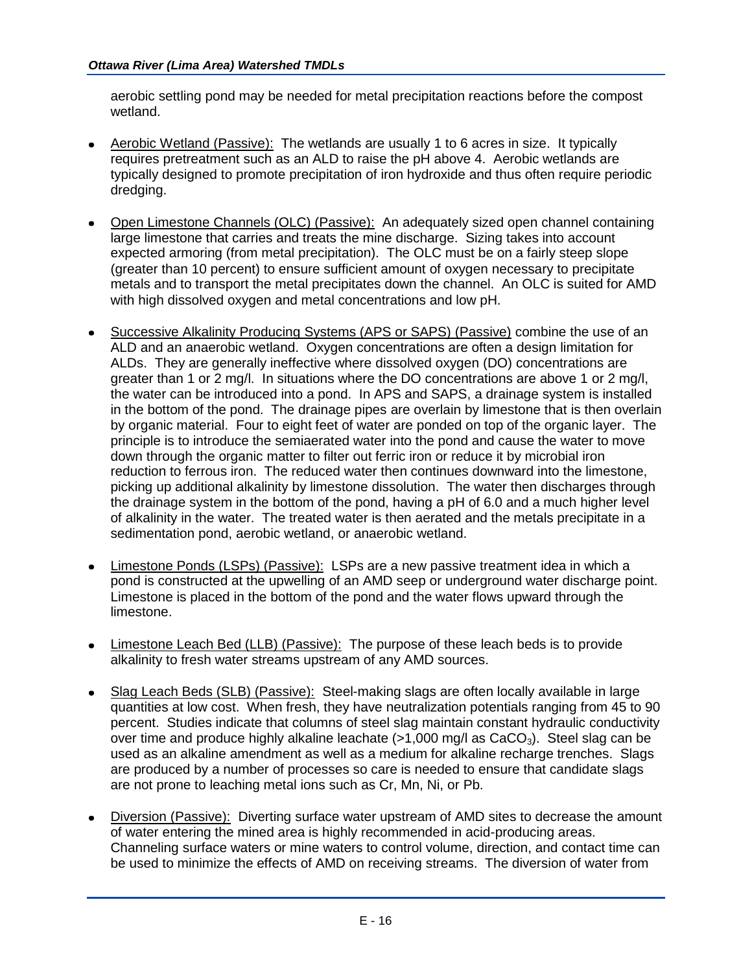aerobic settling pond may be needed for metal precipitation reactions before the compost wetland.

- Aerobic Wetland (Passive): The wetlands are usually 1 to 6 acres in size. It typically requires pretreatment such as an ALD to raise the pH above 4. Aerobic wetlands are typically designed to promote precipitation of iron hydroxide and thus often require periodic dredging.
- Open Limestone Channels (OLC) (Passive): An adequately sized open channel containing large limestone that carries and treats the mine discharge. Sizing takes into account expected armoring (from metal precipitation). The OLC must be on a fairly steep slope (greater than 10 percent) to ensure sufficient amount of oxygen necessary to precipitate metals and to transport the metal precipitates down the channel. An OLC is suited for AMD with high dissolved oxygen and metal concentrations and low pH.
- Successive Alkalinity Producing Systems (APS or SAPS) (Passive) combine the use of an  $\bullet$ ALD and an anaerobic wetland. Oxygen concentrations are often a design limitation for ALDs. They are generally ineffective where dissolved oxygen (DO) concentrations are greater than 1 or 2 mg/l. In situations where the DO concentrations are above 1 or 2 mg/l, the water can be introduced into a pond. In APS and SAPS, a drainage system is installed in the bottom of the pond. The drainage pipes are overlain by limestone that is then overlain by organic material. Four to eight feet of water are ponded on top of the organic layer. The principle is to introduce the semiaerated water into the pond and cause the water to move down through the organic matter to filter out ferric iron or reduce it by microbial iron reduction to ferrous iron. The reduced water then continues downward into the limestone, picking up additional alkalinity by limestone dissolution. The water then discharges through the drainage system in the bottom of the pond, having a pH of 6.0 and a much higher level of alkalinity in the water. The treated water is then aerated and the metals precipitate in a sedimentation pond, aerobic wetland, or anaerobic wetland.
- Limestone Ponds (LSPs) (Passive): LSPs are a new passive treatment idea in which a pond is constructed at the upwelling of an AMD seep or underground water discharge point. Limestone is placed in the bottom of the pond and the water flows upward through the limestone.
- Limestone Leach Bed (LLB) (Passive): The purpose of these leach beds is to provide alkalinity to fresh water streams upstream of any AMD sources.
- Slag Leach Beds (SLB) (Passive): Steel-making slags are often locally available in large  $\bullet$ quantities at low cost. When fresh, they have neutralization potentials ranging from 45 to 90 percent. Studies indicate that columns of steel slag maintain constant hydraulic conductivity over time and produce highly alkaline leachate  $(>1,000 \text{ mg/l} \text{ as } CaCO<sub>3</sub>)$ . Steel slag can be used as an alkaline amendment as well as a medium for alkaline recharge trenches. Slags are produced by a number of processes so care is needed to ensure that candidate slags are not prone to leaching metal ions such as Cr, Mn, Ni, or Pb.
- Diversion (Passive): Diverting surface water upstream of AMD sites to decrease the amount of water entering the mined area is highly recommended in acid-producing areas. Channeling surface waters or mine waters to control volume, direction, and contact time can be used to minimize the effects of AMD on receiving streams. The diversion of water from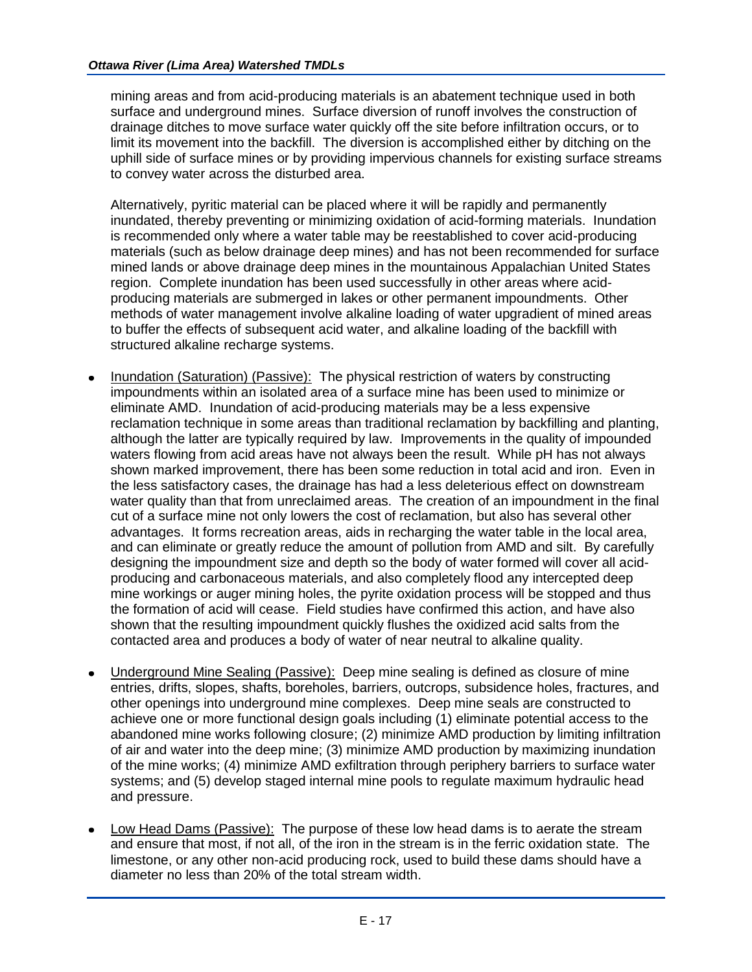mining areas and from acid-producing materials is an abatement technique used in both surface and underground mines. Surface diversion of runoff involves the construction of drainage ditches to move surface water quickly off the site before infiltration occurs, or to limit its movement into the backfill. The diversion is accomplished either by ditching on the uphill side of surface mines or by providing impervious channels for existing surface streams to convey water across the disturbed area.

Alternatively, pyritic material can be placed where it will be rapidly and permanently inundated, thereby preventing or minimizing oxidation of acid-forming materials. Inundation is recommended only where a water table may be reestablished to cover acid-producing materials (such as below drainage deep mines) and has not been recommended for surface mined lands or above drainage deep mines in the mountainous Appalachian United States region. Complete inundation has been used successfully in other areas where acidproducing materials are submerged in lakes or other permanent impoundments. Other methods of water management involve alkaline loading of water upgradient of mined areas to buffer the effects of subsequent acid water, and alkaline loading of the backfill with structured alkaline recharge systems.

- Inundation (Saturation) (Passive): The physical restriction of waters by constructing impoundments within an isolated area of a surface mine has been used to minimize or eliminate AMD. Inundation of acid-producing materials may be a less expensive reclamation technique in some areas than traditional reclamation by backfilling and planting, although the latter are typically required by law. Improvements in the quality of impounded waters flowing from acid areas have not always been the result. While pH has not always shown marked improvement, there has been some reduction in total acid and iron. Even in the less satisfactory cases, the drainage has had a less deleterious effect on downstream water quality than that from unreclaimed areas. The creation of an impoundment in the final cut of a surface mine not only lowers the cost of reclamation, but also has several other advantages. It forms recreation areas, aids in recharging the water table in the local area, and can eliminate or greatly reduce the amount of pollution from AMD and silt. By carefully designing the impoundment size and depth so the body of water formed will cover all acidproducing and carbonaceous materials, and also completely flood any intercepted deep mine workings or auger mining holes, the pyrite oxidation process will be stopped and thus the formation of acid will cease. Field studies have confirmed this action, and have also shown that the resulting impoundment quickly flushes the oxidized acid salts from the contacted area and produces a body of water of near neutral to alkaline quality.
- Underground Mine Sealing (Passive): Deep mine sealing is defined as closure of mine entries, drifts, slopes, shafts, boreholes, barriers, outcrops, subsidence holes, fractures, and other openings into underground mine complexes. Deep mine seals are constructed to achieve one or more functional design goals including (1) eliminate potential access to the abandoned mine works following closure; (2) minimize AMD production by limiting infiltration of air and water into the deep mine; (3) minimize AMD production by maximizing inundation of the mine works; (4) minimize AMD exfiltration through periphery barriers to surface water systems; and (5) develop staged internal mine pools to regulate maximum hydraulic head and pressure.
- Low Head Dams (Passive): The purpose of these low head dams is to aerate the stream and ensure that most, if not all, of the iron in the stream is in the ferric oxidation state. The limestone, or any other non-acid producing rock, used to build these dams should have a diameter no less than 20% of the total stream width.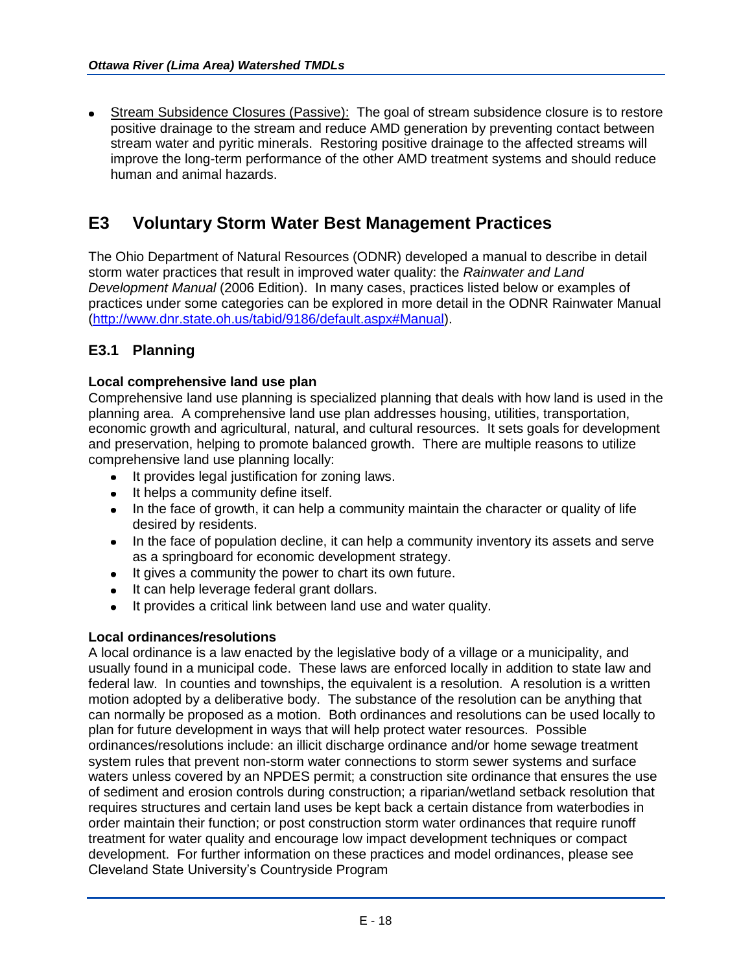Stream Subsidence Closures (Passive): The goal of stream subsidence closure is to restore positive drainage to the stream and reduce AMD generation by preventing contact between stream water and pyritic minerals. Restoring positive drainage to the affected streams will improve the long-term performance of the other AMD treatment systems and should reduce human and animal hazards.

# **E3 Voluntary Storm Water Best Management Practices**

The Ohio Department of Natural Resources (ODNR) developed a manual to describe in detail storm water practices that result in improved water quality: the *Rainwater and Land Development Manual* (2006 Edition). In many cases, practices listed below or examples of practices under some categories can be explored in more detail in the ODNR Rainwater Manual [\(http://www.dnr.state.oh.us/tabid/9186/default.aspx#Manual\)](http://www.dnr.state.oh.us/tabid/9186/default.aspx#Manual).

## **E3.1 Planning**

## **Local comprehensive land use plan**

Comprehensive land use planning is specialized planning that deals with how land is used in the planning area. A comprehensive land use plan addresses housing, utilities, transportation, economic growth and agricultural, natural, and cultural resources. It sets goals for development and preservation, helping to promote balanced growth. There are multiple reasons to utilize comprehensive land use planning locally:

- It provides legal justification for zoning laws.
- It helps a community define itself.
- In the face of growth, it can help a community maintain the character or quality of life desired by residents.
- In the face of population decline, it can help a community inventory its assets and serve as a springboard for economic development strategy.
- It gives a community the power to chart its own future.
- It can help leverage federal grant dollars.
- It provides a critical link between land use and water quality.

## **Local ordinances/resolutions**

A local ordinance is a law enacted by the legislative body of a village or a municipality, and usually found in a municipal code. These laws are enforced locally in addition to state law and federal law. In counties and townships, the equivalent is a resolution. A resolution is a written motion adopted by a deliberative body. The substance of the resolution can be anything that can normally be proposed as a motion. Both ordinances and resolutions can be used locally to plan for future development in ways that will help protect water resources. Possible ordinances/resolutions include: an illicit discharge ordinance and/or home sewage treatment system rules that prevent non-storm water connections to storm sewer systems and surface waters unless covered by an NPDES permit; a construction site ordinance that ensures the use of sediment and erosion controls during construction; a riparian/wetland setback resolution that requires structures and certain land uses be kept back a certain distance from waterbodies in order maintain their function; or post construction storm water ordinances that require runoff treatment for water quality and encourage low impact development techniques or compact development. For further information on these practices and model ordinances, please see Cleveland State University's Countryside Program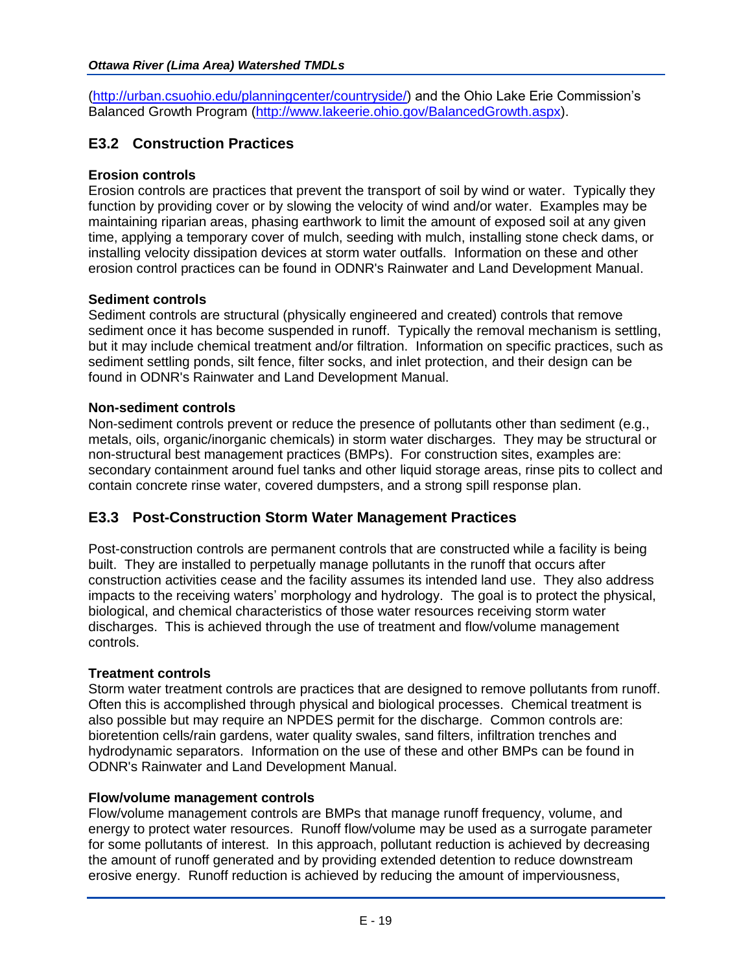[\(http://urban.csuohio.edu/planningcenter/countryside/\)](http://urban.csuohio.edu/planningcenter/countryside/) and the Ohio Lake Erie Commission's Balanced Growth Program [\(http://www.lakeerie.ohio.gov/BalancedGrowth.aspx\)](http://www.lakeerie.ohio.gov/BalancedGrowth.aspx).

## **E3.2 Construction Practices**

## **Erosion controls**

Erosion controls are practices that prevent the transport of soil by wind or water. Typically they function by providing cover or by slowing the velocity of wind and/or water. Examples may be maintaining riparian areas, phasing earthwork to limit the amount of exposed soil at any given time, applying a temporary cover of mulch, seeding with mulch, installing stone check dams, or installing velocity dissipation devices at storm water outfalls. Information on these and other erosion control practices can be found in ODNR's Rainwater and Land Development Manual.

## **Sediment controls**

Sediment controls are structural (physically engineered and created) controls that remove sediment once it has become suspended in runoff. Typically the removal mechanism is settling, but it may include chemical treatment and/or filtration. Information on specific practices, such as sediment settling ponds, silt fence, filter socks, and inlet protection, and their design can be found in ODNR's Rainwater and Land Development Manual.

## **Non-sediment controls**

Non-sediment controls prevent or reduce the presence of pollutants other than sediment (e.g., metals, oils, organic/inorganic chemicals) in storm water discharges. They may be structural or non-structural best management practices (BMPs). For construction sites, examples are: secondary containment around fuel tanks and other liquid storage areas, rinse pits to collect and contain concrete rinse water, covered dumpsters, and a strong spill response plan.

## **E3.3 Post-Construction Storm Water Management Practices**

Post-construction controls are permanent controls that are constructed while a facility is being built. They are installed to perpetually manage pollutants in the runoff that occurs after construction activities cease and the facility assumes its intended land use. They also address impacts to the receiving waters' morphology and hydrology. The goal is to protect the physical, biological, and chemical characteristics of those water resources receiving storm water discharges. This is achieved through the use of treatment and flow/volume management controls.

## **Treatment controls**

Storm water treatment controls are practices that are designed to remove pollutants from runoff. Often this is accomplished through physical and biological processes. Chemical treatment is also possible but may require an NPDES permit for the discharge. Common controls are: bioretention cells/rain gardens, water quality swales, sand filters, infiltration trenches and hydrodynamic separators. Information on the use of these and other BMPs can be found in ODNR's Rainwater and Land Development Manual.

## **Flow/volume management controls**

Flow/volume management controls are BMPs that manage runoff frequency, volume, and energy to protect water resources. Runoff flow/volume may be used as a surrogate parameter for some pollutants of interest. In this approach, pollutant reduction is achieved by decreasing the amount of runoff generated and by providing extended detention to reduce downstream erosive energy. Runoff reduction is achieved by reducing the amount of imperviousness,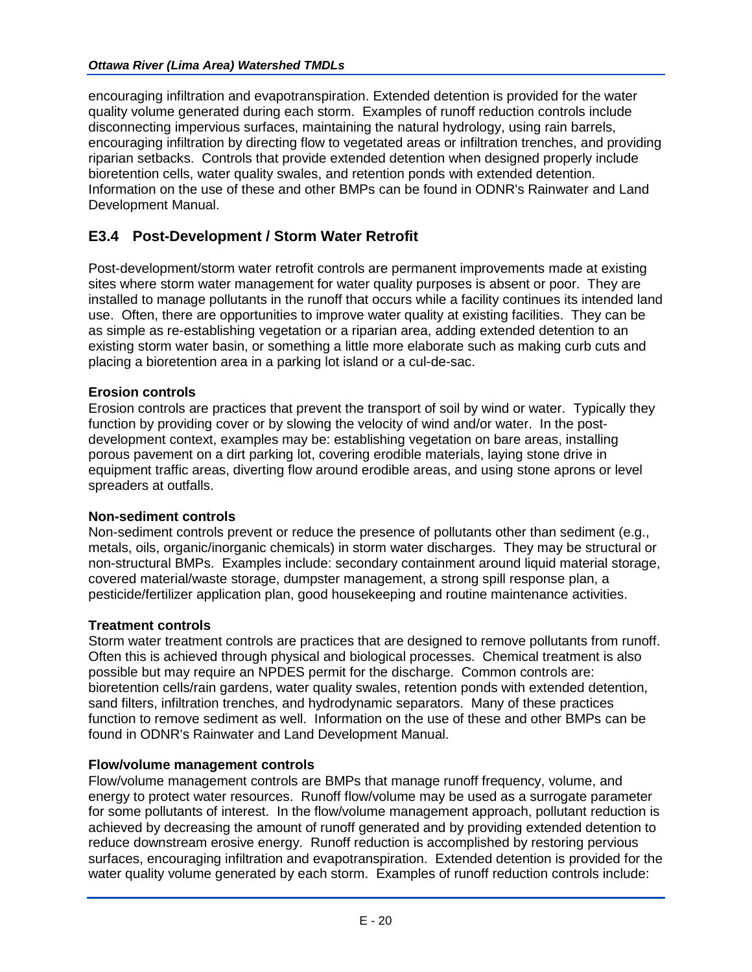encouraging infiltration and evapotranspiration. Extended detention is provided for the water quality volume generated during each storm. Examples of runoff reduction controls include disconnecting impervious surfaces, maintaining the natural hydrology, using rain barrels, encouraging infiltration by directing flow to vegetated areas or infiltration trenches, and providing riparian setbacks. Controls that provide extended detention when designed properly include bioretention cells, water quality swales, and retention ponds with extended detention. Information on the use of these and other BMPs can be found in ODNR's Rainwater and Land Development Manual.

## **E3.4 Post-Development / Storm Water Retrofit**

Post-development/storm water retrofit controls are permanent improvements made at existing sites where storm water management for water quality purposes is absent or poor. They are installed to manage pollutants in the runoff that occurs while a facility continues its intended land use. Often, there are opportunities to improve water quality at existing facilities. They can be as simple as re-establishing vegetation or a riparian area, adding extended detention to an existing storm water basin, or something a little more elaborate such as making curb cuts and placing a bioretention area in a parking lot island or a cul-de-sac.

## **Erosion controls**

Erosion controls are practices that prevent the transport of soil by wind or water. Typically they function by providing cover or by slowing the velocity of wind and/or water. In the postdevelopment context, examples may be: establishing vegetation on bare areas, installing porous pavement on a dirt parking lot, covering erodible materials, laying stone drive in equipment traffic areas, diverting flow around erodible areas, and using stone aprons or level spreaders at outfalls.

## **Non-sediment controls**

Non-sediment controls prevent or reduce the presence of pollutants other than sediment (e.g., metals, oils, organic/inorganic chemicals) in storm water discharges. They may be structural or non-structural BMPs. Examples include: secondary containment around liquid material storage, covered material/waste storage, dumpster management, a strong spill response plan, a pesticide/fertilizer application plan, good housekeeping and routine maintenance activities.

## **Treatment controls**

Storm water treatment controls are practices that are designed to remove pollutants from runoff. Often this is achieved through physical and biological processes. Chemical treatment is also possible but may require an NPDES permit for the discharge. Common controls are: bioretention cells/rain gardens, water quality swales, retention ponds with extended detention, sand filters, infiltration trenches, and hydrodynamic separators. Many of these practices function to remove sediment as well. Information on the use of these and other BMPs can be found in ODNR's Rainwater and Land Development Manual.

## **Flow/volume management controls**

Flow/volume management controls are BMPs that manage runoff frequency, volume, and energy to protect water resources. Runoff flow/volume may be used as a surrogate parameter for some pollutants of interest. In the flow/volume management approach, pollutant reduction is achieved by decreasing the amount of runoff generated and by providing extended detention to reduce downstream erosive energy. Runoff reduction is accomplished by restoring pervious surfaces, encouraging infiltration and evapotranspiration. Extended detention is provided for the water quality volume generated by each storm. Examples of runoff reduction controls include: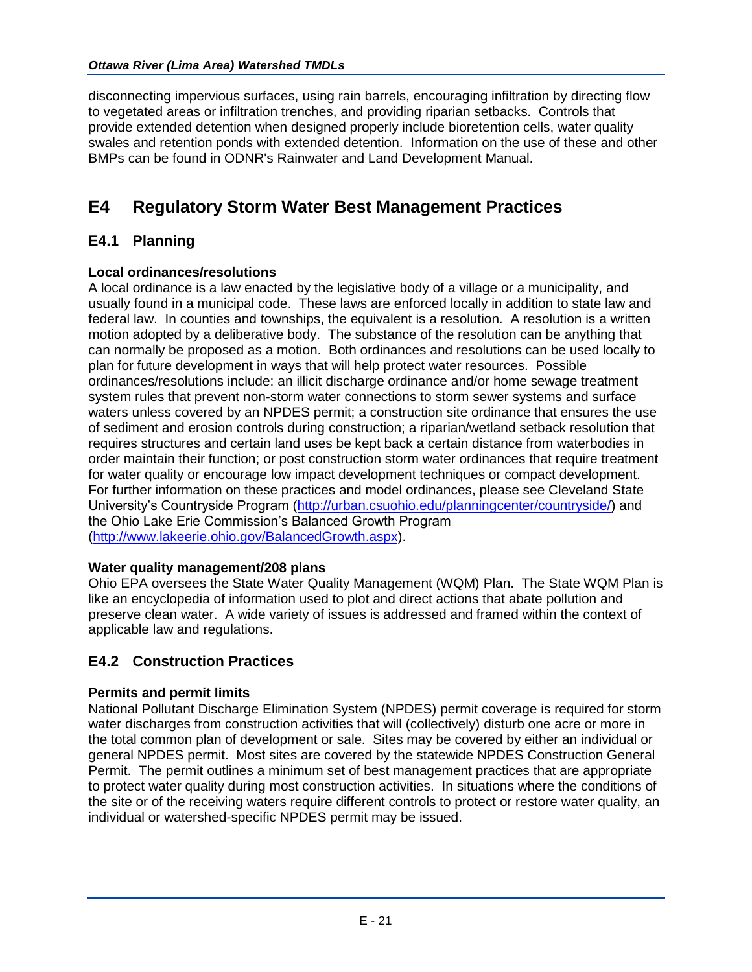## *Ottawa River (Lima Area) Watershed TMDLs*

disconnecting impervious surfaces, using rain barrels, encouraging infiltration by directing flow to vegetated areas or infiltration trenches, and providing riparian setbacks. Controls that provide extended detention when designed properly include bioretention cells, water quality swales and retention ponds with extended detention. Information on the use of these and other BMPs can be found in ODNR's Rainwater and Land Development Manual.

# **E4 Regulatory Storm Water Best Management Practices**

## **E4.1 Planning**

## **Local ordinances/resolutions**

A local ordinance is a law enacted by the legislative body of a village or a municipality, and usually found in a municipal code. These laws are enforced locally in addition to state law and federal law. In counties and townships, the equivalent is a resolution. A resolution is a written motion adopted by a deliberative body. The substance of the resolution can be anything that can normally be proposed as a motion. Both ordinances and resolutions can be used locally to plan for future development in ways that will help protect water resources. Possible ordinances/resolutions include: an illicit discharge ordinance and/or home sewage treatment system rules that prevent non-storm water connections to storm sewer systems and surface waters unless covered by an NPDES permit; a construction site ordinance that ensures the use of sediment and erosion controls during construction; a riparian/wetland setback resolution that requires structures and certain land uses be kept back a certain distance from waterbodies in order maintain their function; or post construction storm water ordinances that require treatment for water quality or encourage low impact development techniques or compact development. For further information on these practices and model ordinances, please see Cleveland State University's Countryside Program [\(http://urban.csuohio.edu/planningcenter/countryside/\)](http://urban.csuohio.edu/planningcenter/countryside/) and the Ohio Lake Erie Commission's Balanced Growth Program [\(http://www.lakeerie.ohio.gov/BalancedGrowth.aspx\)](http://www.lakeerie.ohio.gov/BalancedGrowth.aspx).

## **Water quality management/208 plans**

Ohio EPA oversees the State Water Quality Management (WQM) Plan. The State WQM Plan is like an encyclopedia of information used to plot and direct actions that abate pollution and preserve clean water. A wide variety of issues is addressed and framed within the context of applicable law and regulations.

## **E4.2 Construction Practices**

## **Permits and permit limits**

National Pollutant Discharge Elimination System (NPDES) permit coverage is required for storm water discharges from construction activities that will (collectively) disturb one acre or more in the total common plan of development or sale. Sites may be covered by either an individual or general NPDES permit. Most sites are covered by the statewide NPDES Construction General Permit. The permit outlines a minimum set of best management practices that are appropriate to protect water quality during most construction activities. In situations where the conditions of the site or of the receiving waters require different controls to protect or restore water quality, an individual or watershed-specific NPDES permit may be issued.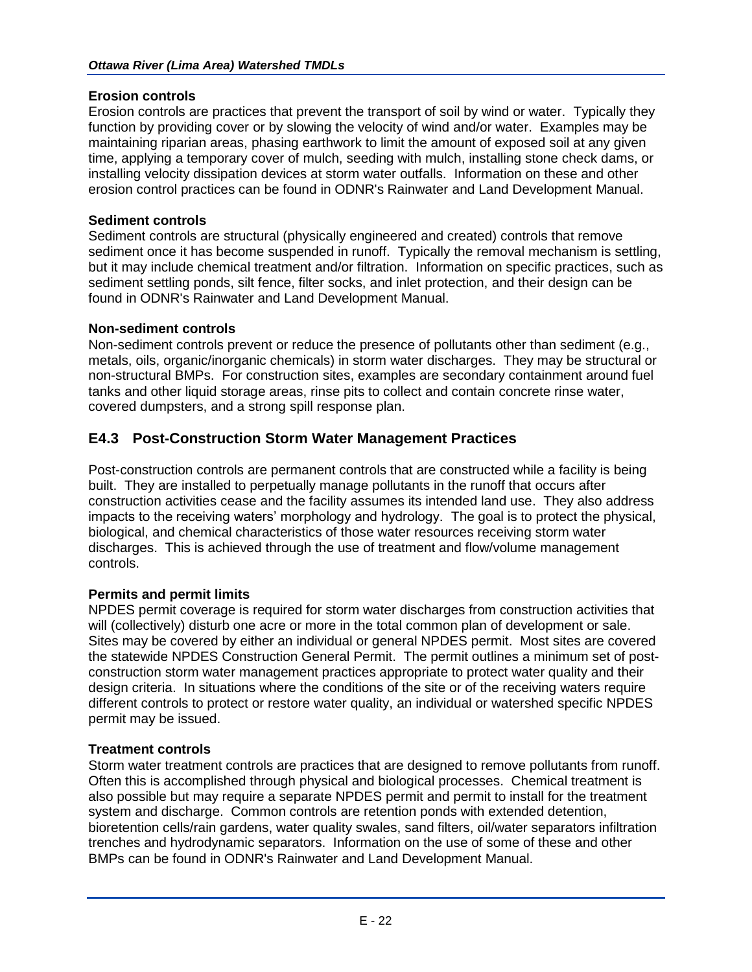## **Erosion controls**

Erosion controls are practices that prevent the transport of soil by wind or water. Typically they function by providing cover or by slowing the velocity of wind and/or water. Examples may be maintaining riparian areas, phasing earthwork to limit the amount of exposed soil at any given time, applying a temporary cover of mulch, seeding with mulch, installing stone check dams, or installing velocity dissipation devices at storm water outfalls. Information on these and other erosion control practices can be found in ODNR's Rainwater and Land Development Manual.

## **Sediment controls**

Sediment controls are structural (physically engineered and created) controls that remove sediment once it has become suspended in runoff. Typically the removal mechanism is settling, but it may include chemical treatment and/or filtration. Information on specific practices, such as sediment settling ponds, silt fence, filter socks, and inlet protection, and their design can be found in ODNR's Rainwater and Land Development Manual.

## **Non-sediment controls**

Non-sediment controls prevent or reduce the presence of pollutants other than sediment (e.g., metals, oils, organic/inorganic chemicals) in storm water discharges. They may be structural or non-structural BMPs. For construction sites, examples are secondary containment around fuel tanks and other liquid storage areas, rinse pits to collect and contain concrete rinse water, covered dumpsters, and a strong spill response plan.

## **E4.3 Post-Construction Storm Water Management Practices**

Post-construction controls are permanent controls that are constructed while a facility is being built. They are installed to perpetually manage pollutants in the runoff that occurs after construction activities cease and the facility assumes its intended land use. They also address impacts to the receiving waters' morphology and hydrology. The goal is to protect the physical, biological, and chemical characteristics of those water resources receiving storm water discharges. This is achieved through the use of treatment and flow/volume management controls.

## **Permits and permit limits**

NPDES permit coverage is required for storm water discharges from construction activities that will (collectively) disturb one acre or more in the total common plan of development or sale. Sites may be covered by either an individual or general NPDES permit. Most sites are covered the statewide NPDES Construction General Permit. The permit outlines a minimum set of postconstruction storm water management practices appropriate to protect water quality and their design criteria. In situations where the conditions of the site or of the receiving waters require different controls to protect or restore water quality, an individual or watershed specific NPDES permit may be issued.

## **Treatment controls**

Storm water treatment controls are practices that are designed to remove pollutants from runoff. Often this is accomplished through physical and biological processes. Chemical treatment is also possible but may require a separate NPDES permit and permit to install for the treatment system and discharge. Common controls are retention ponds with extended detention, bioretention cells/rain gardens, water quality swales, sand filters, oil/water separators infiltration trenches and hydrodynamic separators. Information on the use of some of these and other BMPs can be found in ODNR's Rainwater and Land Development Manual.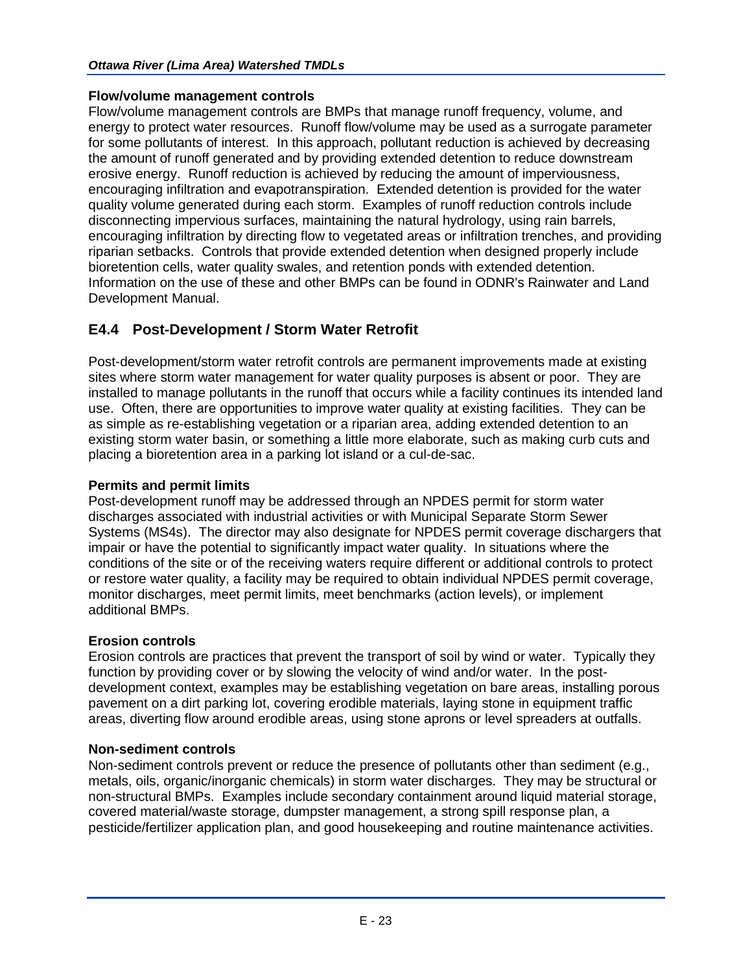## **Flow/volume management controls**

Flow/volume management controls are BMPs that manage runoff frequency, volume, and energy to protect water resources. Runoff flow/volume may be used as a surrogate parameter for some pollutants of interest. In this approach, pollutant reduction is achieved by decreasing the amount of runoff generated and by providing extended detention to reduce downstream erosive energy. Runoff reduction is achieved by reducing the amount of imperviousness, encouraging infiltration and evapotranspiration. Extended detention is provided for the water quality volume generated during each storm. Examples of runoff reduction controls include disconnecting impervious surfaces, maintaining the natural hydrology, using rain barrels, encouraging infiltration by directing flow to vegetated areas or infiltration trenches, and providing riparian setbacks. Controls that provide extended detention when designed properly include bioretention cells, water quality swales, and retention ponds with extended detention. Information on the use of these and other BMPs can be found in ODNR's Rainwater and Land Development Manual.

## **E4.4 Post-Development / Storm Water Retrofit**

Post-development/storm water retrofit controls are permanent improvements made at existing sites where storm water management for water quality purposes is absent or poor. They are installed to manage pollutants in the runoff that occurs while a facility continues its intended land use. Often, there are opportunities to improve water quality at existing facilities. They can be as simple as re-establishing vegetation or a riparian area, adding extended detention to an existing storm water basin, or something a little more elaborate, such as making curb cuts and placing a bioretention area in a parking lot island or a cul-de-sac.

## **Permits and permit limits**

Post-development runoff may be addressed through an NPDES permit for storm water discharges associated with industrial activities or with Municipal Separate Storm Sewer Systems (MS4s). The director may also designate for NPDES permit coverage dischargers that impair or have the potential to significantly impact water quality. In situations where the conditions of the site or of the receiving waters require different or additional controls to protect or restore water quality, a facility may be required to obtain individual NPDES permit coverage, monitor discharges, meet permit limits, meet benchmarks (action levels), or implement additional BMPs.

## **Erosion controls**

Erosion controls are practices that prevent the transport of soil by wind or water. Typically they function by providing cover or by slowing the velocity of wind and/or water. In the postdevelopment context, examples may be establishing vegetation on bare areas, installing porous pavement on a dirt parking lot, covering erodible materials, laying stone in equipment traffic areas, diverting flow around erodible areas, using stone aprons or level spreaders at outfalls.

## **Non-sediment controls**

Non-sediment controls prevent or reduce the presence of pollutants other than sediment (e.g., metals, oils, organic/inorganic chemicals) in storm water discharges. They may be structural or non-structural BMPs. Examples include secondary containment around liquid material storage, covered material/waste storage, dumpster management, a strong spill response plan, a pesticide/fertilizer application plan, and good housekeeping and routine maintenance activities.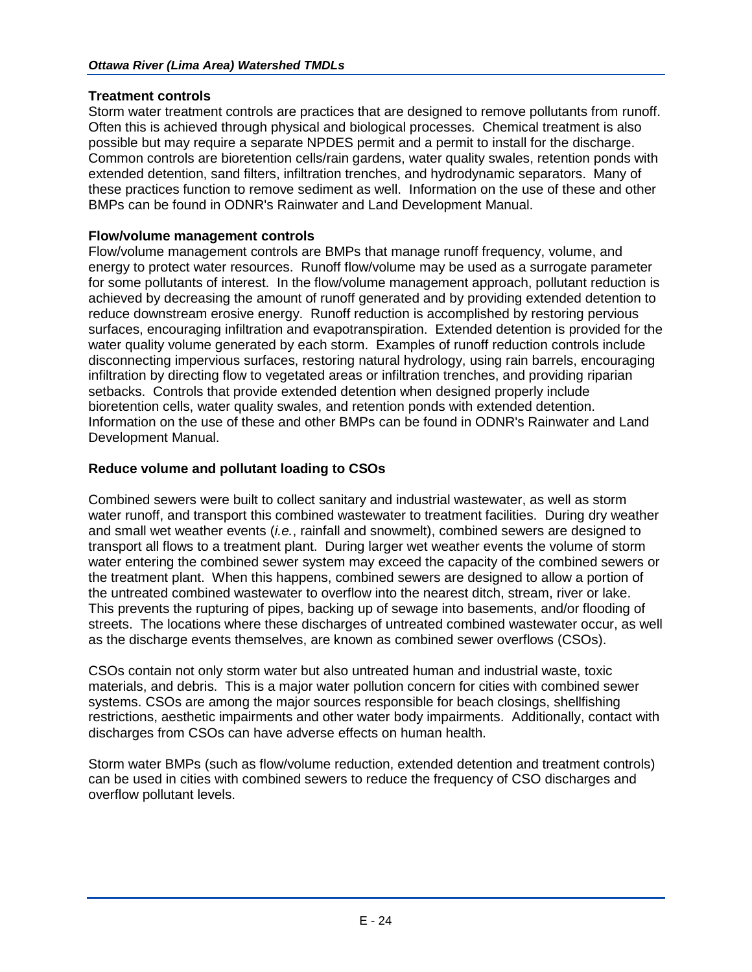## **Treatment controls**

Storm water treatment controls are practices that are designed to remove pollutants from runoff. Often this is achieved through physical and biological processes. Chemical treatment is also possible but may require a separate NPDES permit and a permit to install for the discharge. Common controls are bioretention cells/rain gardens, water quality swales, retention ponds with extended detention, sand filters, infiltration trenches, and hydrodynamic separators. Many of these practices function to remove sediment as well. Information on the use of these and other BMPs can be found in ODNR's Rainwater and Land Development Manual.

## **Flow/volume management controls**

Flow/volume management controls are BMPs that manage runoff frequency, volume, and energy to protect water resources. Runoff flow/volume may be used as a surrogate parameter for some pollutants of interest. In the flow/volume management approach, pollutant reduction is achieved by decreasing the amount of runoff generated and by providing extended detention to reduce downstream erosive energy. Runoff reduction is accomplished by restoring pervious surfaces, encouraging infiltration and evapotranspiration. Extended detention is provided for the water quality volume generated by each storm. Examples of runoff reduction controls include disconnecting impervious surfaces, restoring natural hydrology, using rain barrels, encouraging infiltration by directing flow to vegetated areas or infiltration trenches, and providing riparian setbacks. Controls that provide extended detention when designed properly include bioretention cells, water quality swales, and retention ponds with extended detention. Information on the use of these and other BMPs can be found in ODNR's Rainwater and Land Development Manual.

## **Reduce volume and pollutant loading to CSOs**

Combined sewers were built to collect sanitary and industrial wastewater, as well as storm water runoff, and transport this combined wastewater to treatment facilities. During dry weather and small wet weather events (*i.e.*, rainfall and snowmelt), combined sewers are designed to transport all flows to a treatment plant. During larger wet weather events the volume of storm water entering the combined sewer system may exceed the capacity of the combined sewers or the treatment plant. When this happens, combined sewers are designed to allow a portion of the untreated combined wastewater to overflow into the nearest ditch, stream, river or lake. This prevents the rupturing of pipes, backing up of sewage into basements, and/or flooding of streets. The locations where these discharges of untreated combined wastewater occur, as well as the discharge events themselves, are known as combined sewer overflows (CSOs).

CSOs contain not only storm water but also untreated human and industrial waste, toxic materials, and debris. This is a major water pollution concern for cities with combined sewer systems. CSOs are among the major sources responsible for beach closings, shellfishing restrictions, aesthetic impairments and other water body impairments. Additionally, contact with discharges from CSOs can have adverse effects on human health.

Storm water BMPs (such as flow/volume reduction, extended detention and treatment controls) can be used in cities with combined sewers to reduce the frequency of CSO discharges and overflow pollutant levels.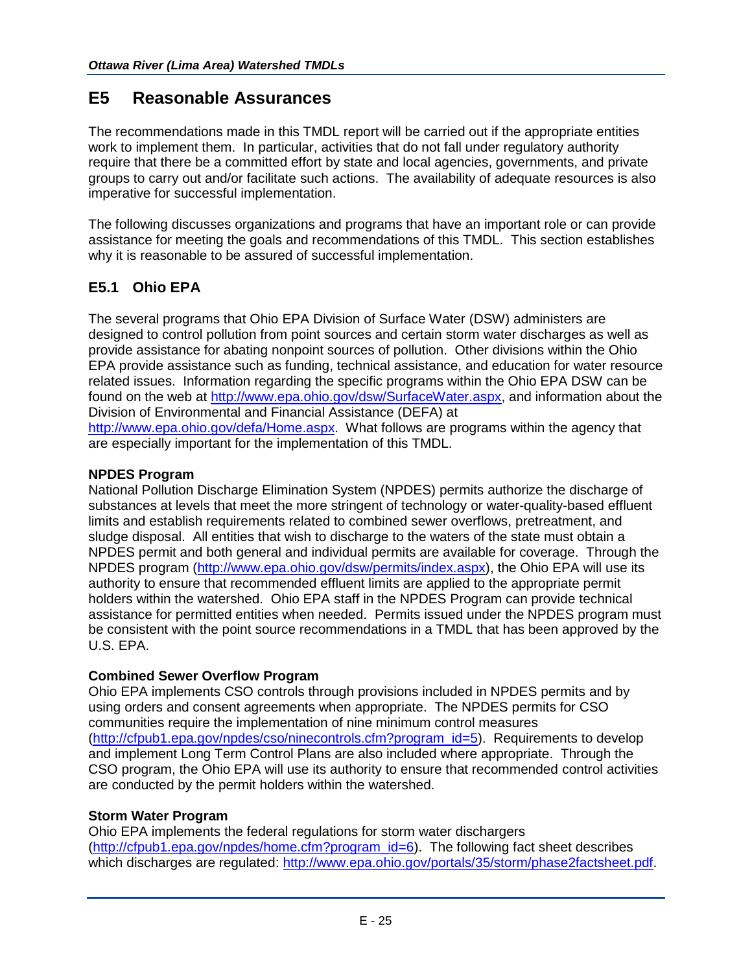## **E5 Reasonable Assurances**

The recommendations made in this TMDL report will be carried out if the appropriate entities work to implement them. In particular, activities that do not fall under regulatory authority require that there be a committed effort by state and local agencies, governments, and private groups to carry out and/or facilitate such actions. The availability of adequate resources is also imperative for successful implementation.

The following discusses organizations and programs that have an important role or can provide assistance for meeting the goals and recommendations of this TMDL. This section establishes why it is reasonable to be assured of successful implementation.

## **E5.1 Ohio EPA**

The several programs that Ohio EPA Division of Surface Water (DSW) administers are designed to control pollution from point sources and certain storm water discharges as well as provide assistance for abating nonpoint sources of pollution. Other divisions within the Ohio EPA provide assistance such as funding, technical assistance, and education for water resource related issues. Information regarding the specific programs within the Ohio EPA DSW can be found on the web at [http://www.epa.ohio.gov/dsw/SurfaceWater.aspx,](http://www.epa.ohio.gov/dsw/SurfaceWater.aspx) and information about the Division of Environmental and Financial Assistance (DEFA) at [http://www.epa.ohio.gov/defa/Home.aspx.](http://www.epa.ohio.gov/defa/Home.aspx) What follows are programs within the agency that are especially important for the implementation of this TMDL.

## **NPDES Program**

National Pollution Discharge Elimination System (NPDES) permits authorize the discharge of substances at levels that meet the more stringent of technology or water-quality-based effluent limits and establish requirements related to combined sewer overflows, pretreatment, and sludge disposal. All entities that wish to discharge to the waters of the state must obtain a NPDES permit and both general and individual permits are available for coverage. Through the NPDES program [\(http://www.epa.ohio.gov/dsw/permits/index.aspx\)](http://www.epa.ohio.gov/dsw/permits/index.aspx), the Ohio EPA will use its authority to ensure that recommended effluent limits are applied to the appropriate permit holders within the watershed. Ohio EPA staff in the NPDES Program can provide technical assistance for permitted entities when needed. Permits issued under the NPDES program must be consistent with the point source recommendations in a TMDL that has been approved by the U.S. EPA.

## **Combined Sewer Overflow Program**

Ohio EPA implements CSO controls through provisions included in NPDES permits and by using orders and consent agreements when appropriate. The NPDES permits for CSO communities require the implementation of nine minimum control measures [\(http://cfpub1.epa.gov/npdes/cso/ninecontrols.cfm?program\\_id=5\)](http://cfpub1.epa.gov/npdes/cso/ninecontrols.cfm?program_id=5). Requirements to develop and implement Long Term Control Plans are also included where appropriate. Through the CSO program, the Ohio EPA will use its authority to ensure that recommended control activities are conducted by the permit holders within the watershed.

## **Storm Water Program**

Ohio EPA implements the federal regulations for storm water dischargers [\(http://cfpub1.epa.gov/npdes/home.cfm?program\\_id=6\)](http://cfpub1.epa.gov/npdes/home.cfm?program_id=6). The following fact sheet describes which discharges are regulated: [http://www.epa.ohio.gov/portals/35/storm/phase2factsheet.pdf.](http://www.epa.ohio.gov/portals/35/storm/phase2factsheet.pdf)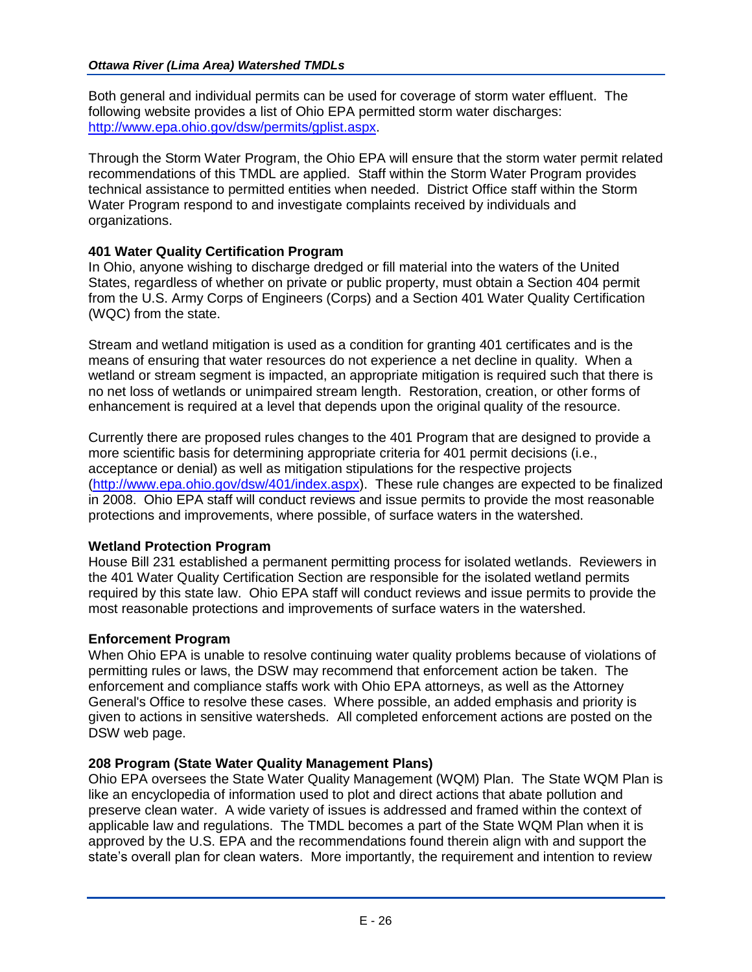Both general and individual permits can be used for coverage of storm water effluent. The following website provides a list of Ohio EPA permitted storm water discharges: [http://www.epa.ohio.gov/dsw/permits/gplist.aspx.](http://www.epa.ohio.gov/dsw/permits/gplist.aspx)

Through the Storm Water Program, the Ohio EPA will ensure that the storm water permit related recommendations of this TMDL are applied. Staff within the Storm Water Program provides technical assistance to permitted entities when needed. District Office staff within the Storm Water Program respond to and investigate complaints received by individuals and organizations.

## **401 Water Quality Certification Program**

In Ohio, anyone wishing to discharge dredged or fill material into the waters of the United States, regardless of whether on private or public property, must obtain a Section 404 permit from the U.S. Army Corps of Engineers (Corps) and a Section 401 Water Quality Certification (WQC) from the state.

Stream and wetland mitigation is used as a condition for granting 401 certificates and is the means of ensuring that water resources do not experience a net decline in quality. When a wetland or stream segment is impacted, an appropriate mitigation is required such that there is no net loss of wetlands or unimpaired stream length. Restoration, creation, or other forms of enhancement is required at a level that depends upon the original quality of the resource.

Currently there are proposed rules changes to the 401 Program that are designed to provide a more scientific basis for determining appropriate criteria for 401 permit decisions (i.e., acceptance or denial) as well as mitigation stipulations for the respective projects [\(http://www.epa.ohio.gov/dsw/401/index.aspx\)](http://www.epa.ohio.gov/dsw/401/index.aspx). These rule changes are expected to be finalized in 2008. Ohio EPA staff will conduct reviews and issue permits to provide the most reasonable protections and improvements, where possible, of surface waters in the watershed.

## **Wetland Protection Program**

House Bill 231 established a permanent permitting process for isolated wetlands. Reviewers in the 401 Water Quality Certification Section are responsible for the isolated wetland permits required by this state law. Ohio EPA staff will conduct reviews and issue permits to provide the most reasonable protections and improvements of surface waters in the watershed.

## **Enforcement Program**

When Ohio EPA is unable to resolve continuing water quality problems because of violations of permitting rules or laws, the DSW may recommend that enforcement action be taken. The enforcement and compliance staffs work with Ohio EPA attorneys, as well as the Attorney General's Office to resolve these cases. Where possible, an added emphasis and priority is given to actions in sensitive watersheds. All completed enforcement actions are posted on the DSW web page.

## **208 Program (State Water Quality Management Plans)**

Ohio EPA oversees the State Water Quality Management (WQM) Plan. The State WQM Plan is like an encyclopedia of information used to plot and direct actions that abate pollution and preserve clean water. A wide variety of issues is addressed and framed within the context of applicable law and regulations. The TMDL becomes a part of the State WQM Plan when it is approved by the U.S. EPA and the recommendations found therein align with and support the state's overall plan for clean waters. More importantly, the requirement and intention to review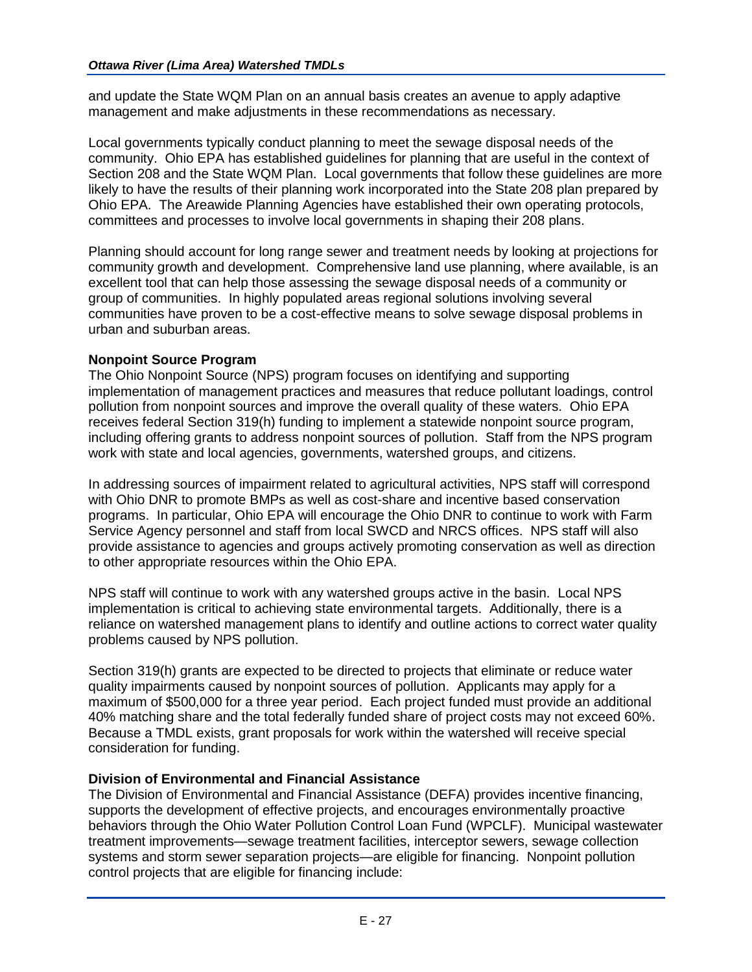and update the State WQM Plan on an annual basis creates an avenue to apply adaptive management and make adjustments in these recommendations as necessary.

Local governments typically conduct planning to meet the sewage disposal needs of the community. Ohio EPA has established guidelines for planning that are useful in the context of Section 208 and the State WQM Plan. Local governments that follow these guidelines are more likely to have the results of their planning work incorporated into the State 208 plan prepared by Ohio EPA. The Areawide Planning Agencies have established their own operating protocols, committees and processes to involve local governments in shaping their 208 plans.

Planning should account for long range sewer and treatment needs by looking at projections for community growth and development. Comprehensive land use planning, where available, is an excellent tool that can help those assessing the sewage disposal needs of a community or group of communities. In highly populated areas regional solutions involving several communities have proven to be a cost-effective means to solve sewage disposal problems in urban and suburban areas.

## **Nonpoint Source Program**

The Ohio Nonpoint Source (NPS) program focuses on identifying and supporting implementation of management practices and measures that reduce pollutant loadings, control pollution from nonpoint sources and improve the overall quality of these waters. Ohio EPA receives federal Section 319(h) funding to implement a statewide nonpoint source program, including offering grants to address nonpoint sources of pollution. Staff from the NPS program work with state and local agencies, governments, watershed groups, and citizens.

In addressing sources of impairment related to agricultural activities, NPS staff will correspond with Ohio DNR to promote BMPs as well as cost-share and incentive based conservation programs. In particular, Ohio EPA will encourage the Ohio DNR to continue to work with Farm Service Agency personnel and staff from local SWCD and NRCS offices. NPS staff will also provide assistance to agencies and groups actively promoting conservation as well as direction to other appropriate resources within the Ohio EPA.

NPS staff will continue to work with any watershed groups active in the basin. Local NPS implementation is critical to achieving state environmental targets. Additionally, there is a reliance on watershed management plans to identify and outline actions to correct water quality problems caused by NPS pollution.

Section 319(h) grants are expected to be directed to projects that eliminate or reduce water quality impairments caused by nonpoint sources of pollution. Applicants may apply for a maximum of \$500,000 for a three year period. Each project funded must provide an additional 40% matching share and the total federally funded share of project costs may not exceed 60%. Because a TMDL exists, grant proposals for work within the watershed will receive special consideration for funding.

## **Division of Environmental and Financial Assistance**

The Division of Environmental and Financial Assistance (DEFA) provides incentive financing, supports the development of effective projects, and encourages environmentally proactive behaviors through the Ohio Water Pollution Control Loan Fund (WPCLF). Municipal wastewater treatment improvements—sewage treatment facilities, interceptor sewers, sewage collection systems and storm sewer separation projects—are eligible for financing. Nonpoint pollution control projects that are eligible for financing include: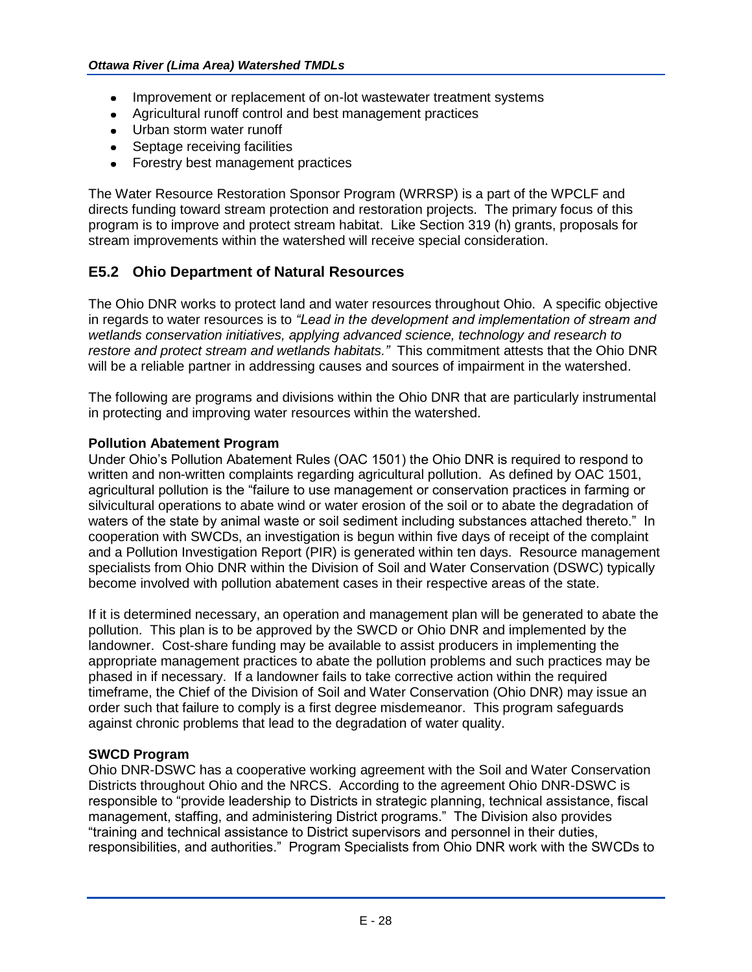- Improvement or replacement of on-lot wastewater treatment systems
- Agricultural runoff control and best management practices
- Urban storm water runoff
- Septage receiving facilities
- Forestry best management practices

The Water Resource Restoration Sponsor Program (WRRSP) is a part of the WPCLF and directs funding toward stream protection and restoration projects. The primary focus of this program is to improve and protect stream habitat. Like Section 319 (h) grants, proposals for stream improvements within the watershed will receive special consideration.

## **E5.2 Ohio Department of Natural Resources**

The Ohio DNR works to protect land and water resources throughout Ohio. A specific objective in regards to water resources is to *"Lead in the development and implementation of stream and wetlands conservation initiatives, applying advanced science, technology and research to restore and protect stream and wetlands habitats."* This commitment attests that the Ohio DNR will be a reliable partner in addressing causes and sources of impairment in the watershed.

The following are programs and divisions within the Ohio DNR that are particularly instrumental in protecting and improving water resources within the watershed.

## **Pollution Abatement Program**

Under Ohio's Pollution Abatement Rules (OAC 1501) the Ohio DNR is required to respond to written and non-written complaints regarding agricultural pollution. As defined by OAC 1501, agricultural pollution is the "failure to use management or conservation practices in farming or silvicultural operations to abate wind or water erosion of the soil or to abate the degradation of waters of the state by animal waste or soil sediment including substances attached thereto." In cooperation with SWCDs, an investigation is begun within five days of receipt of the complaint and a Pollution Investigation Report (PIR) is generated within ten days. Resource management specialists from Ohio DNR within the Division of Soil and Water Conservation (DSWC) typically become involved with pollution abatement cases in their respective areas of the state.

If it is determined necessary, an operation and management plan will be generated to abate the pollution. This plan is to be approved by the SWCD or Ohio DNR and implemented by the landowner. Cost-share funding may be available to assist producers in implementing the appropriate management practices to abate the pollution problems and such practices may be phased in if necessary. If a landowner fails to take corrective action within the required timeframe, the Chief of the Division of Soil and Water Conservation (Ohio DNR) may issue an order such that failure to comply is a first degree misdemeanor. This program safeguards against chronic problems that lead to the degradation of water quality.

## **SWCD Program**

Ohio DNR-DSWC has a cooperative working agreement with the Soil and Water Conservation Districts throughout Ohio and the NRCS. According to the agreement Ohio DNR-DSWC is responsible to "provide leadership to Districts in strategic planning, technical assistance, fiscal management, staffing, and administering District programs." The Division also provides "training and technical assistance to District supervisors and personnel in their duties, responsibilities, and authorities." Program Specialists from Ohio DNR work with the SWCDs to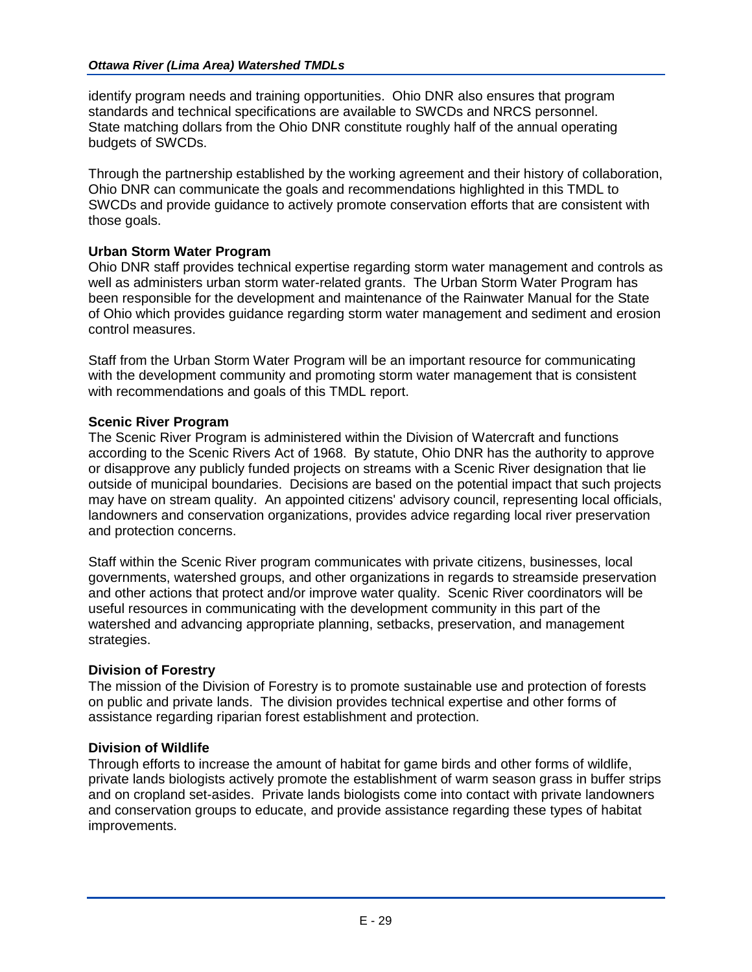identify program needs and training opportunities. Ohio DNR also ensures that program standards and technical specifications are available to SWCDs and NRCS personnel. State matching dollars from the Ohio DNR constitute roughly half of the annual operating budgets of SWCDs.

Through the partnership established by the working agreement and their history of collaboration, Ohio DNR can communicate the goals and recommendations highlighted in this TMDL to SWCDs and provide guidance to actively promote conservation efforts that are consistent with those goals.

## **Urban Storm Water Program**

Ohio DNR staff provides technical expertise regarding storm water management and controls as well as administers urban storm water-related grants. The Urban Storm Water Program has been responsible for the development and maintenance of the Rainwater Manual for the State of Ohio which provides guidance regarding storm water management and sediment and erosion control measures.

Staff from the Urban Storm Water Program will be an important resource for communicating with the development community and promoting storm water management that is consistent with recommendations and goals of this TMDL report.

## **Scenic River Program**

The Scenic River Program is administered within the Division of Watercraft and functions according to the Scenic Rivers Act of 1968. By statute, Ohio DNR has the authority to approve or disapprove any publicly funded projects on streams with a Scenic River designation that lie outside of municipal boundaries. Decisions are based on the potential impact that such projects may have on stream quality. An appointed citizens' advisory council, representing local officials, landowners and conservation organizations, provides advice regarding local river preservation and protection concerns.

Staff within the Scenic River program communicates with private citizens, businesses, local governments, watershed groups, and other organizations in regards to streamside preservation and other actions that protect and/or improve water quality. Scenic River coordinators will be useful resources in communicating with the development community in this part of the watershed and advancing appropriate planning, setbacks, preservation, and management strategies.

## **Division of Forestry**

The mission of the Division of Forestry is to promote sustainable use and protection of forests on public and private lands. The division provides technical expertise and other forms of assistance regarding riparian forest establishment and protection.

## **Division of Wildlife**

Through efforts to increase the amount of habitat for game birds and other forms of wildlife, private lands biologists actively promote the establishment of warm season grass in buffer strips and on cropland set-asides. Private lands biologists come into contact with private landowners and conservation groups to educate, and provide assistance regarding these types of habitat improvements.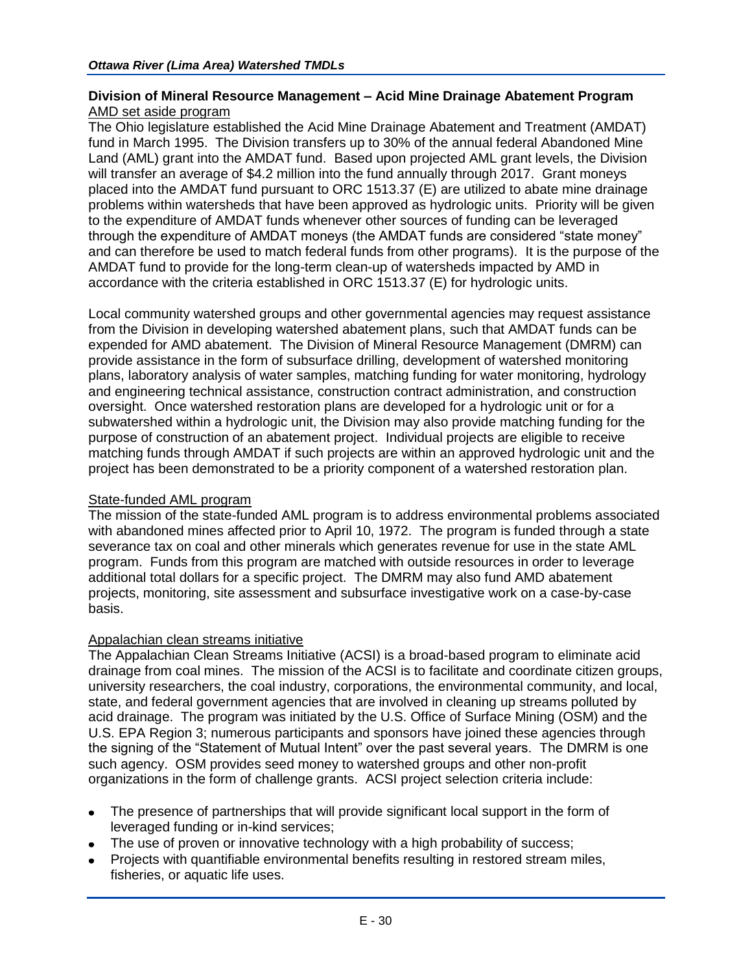## **Division of Mineral Resource Management – Acid Mine Drainage Abatement Program** AMD set aside program

The Ohio legislature established the Acid Mine Drainage Abatement and Treatment (AMDAT) fund in March 1995. The Division transfers up to 30% of the annual federal Abandoned Mine Land (AML) grant into the AMDAT fund. Based upon projected AML grant levels, the Division will transfer an average of \$4.2 million into the fund annually through 2017. Grant moneys placed into the AMDAT fund pursuant to ORC 1513.37 (E) are utilized to abate mine drainage problems within watersheds that have been approved as hydrologic units. Priority will be given to the expenditure of AMDAT funds whenever other sources of funding can be leveraged through the expenditure of AMDAT moneys (the AMDAT funds are considered "state money" and can therefore be used to match federal funds from other programs). It is the purpose of the AMDAT fund to provide for the long-term clean-up of watersheds impacted by AMD in accordance with the criteria established in ORC 1513.37 (E) for hydrologic units.

Local community watershed groups and other governmental agencies may request assistance from the Division in developing watershed abatement plans, such that AMDAT funds can be expended for AMD abatement. The Division of Mineral Resource Management (DMRM) can provide assistance in the form of subsurface drilling, development of watershed monitoring plans, laboratory analysis of water samples, matching funding for water monitoring, hydrology and engineering technical assistance, construction contract administration, and construction oversight. Once watershed restoration plans are developed for a hydrologic unit or for a subwatershed within a hydrologic unit, the Division may also provide matching funding for the purpose of construction of an abatement project. Individual projects are eligible to receive matching funds through AMDAT if such projects are within an approved hydrologic unit and the project has been demonstrated to be a priority component of a watershed restoration plan.

## State-funded AML program

The mission of the state-funded AML program is to address environmental problems associated with abandoned mines affected prior to April 10, 1972. The program is funded through a state severance tax on coal and other minerals which generates revenue for use in the state AML program. Funds from this program are matched with outside resources in order to leverage additional total dollars for a specific project. The DMRM may also fund AMD abatement projects, monitoring, site assessment and subsurface investigative work on a case-by-case basis.

## Appalachian clean streams initiative

The Appalachian Clean Streams Initiative (ACSI) is a broad-based program to eliminate acid drainage from coal mines. The mission of the ACSI is to facilitate and coordinate citizen groups, university researchers, the coal industry, corporations, the environmental community, and local, state, and federal government agencies that are involved in cleaning up streams polluted by acid drainage. The program was initiated by the U.S. Office of Surface Mining (OSM) and the U.S. EPA Region 3; numerous participants and sponsors have joined these agencies through the signing of the "Statement of Mutual Intent" over the past several years. The DMRM is one such agency. OSM provides seed money to watershed groups and other non-profit organizations in the form of challenge grants. ACSI project selection criteria include:

- The presence of partnerships that will provide significant local support in the form of  $\bullet$ leveraged funding or in-kind services;
- The use of proven or innovative technology with a high probability of success;
- Projects with quantifiable environmental benefits resulting in restored stream miles, fisheries, or aquatic life uses.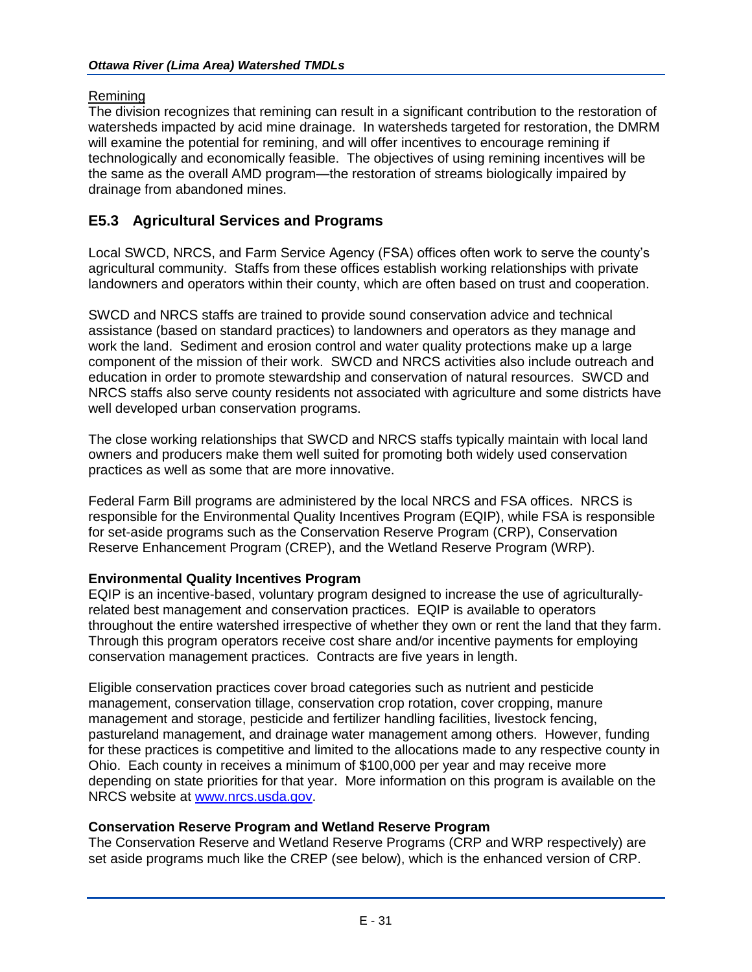## **Remining**

The division recognizes that remining can result in a significant contribution to the restoration of watersheds impacted by acid mine drainage. In watersheds targeted for restoration, the DMRM will examine the potential for remining, and will offer incentives to encourage remining if technologically and economically feasible. The objectives of using remining incentives will be the same as the overall AMD program—the restoration of streams biologically impaired by drainage from abandoned mines.

## **E5.3 Agricultural Services and Programs**

Local SWCD, NRCS, and Farm Service Agency (FSA) offices often work to serve the county's agricultural community. Staffs from these offices establish working relationships with private landowners and operators within their county, which are often based on trust and cooperation.

SWCD and NRCS staffs are trained to provide sound conservation advice and technical assistance (based on standard practices) to landowners and operators as they manage and work the land. Sediment and erosion control and water quality protections make up a large component of the mission of their work. SWCD and NRCS activities also include outreach and education in order to promote stewardship and conservation of natural resources. SWCD and NRCS staffs also serve county residents not associated with agriculture and some districts have well developed urban conservation programs.

The close working relationships that SWCD and NRCS staffs typically maintain with local land owners and producers make them well suited for promoting both widely used conservation practices as well as some that are more innovative.

Federal Farm Bill programs are administered by the local NRCS and FSA offices. NRCS is responsible for the Environmental Quality Incentives Program (EQIP), while FSA is responsible for set-aside programs such as the Conservation Reserve Program (CRP), Conservation Reserve Enhancement Program (CREP), and the Wetland Reserve Program (WRP).

## **Environmental Quality Incentives Program**

EQIP is an incentive-based, voluntary program designed to increase the use of agriculturallyrelated best management and conservation practices. EQIP is available to operators throughout the entire watershed irrespective of whether they own or rent the land that they farm. Through this program operators receive cost share and/or incentive payments for employing conservation management practices. Contracts are five years in length.

Eligible conservation practices cover broad categories such as nutrient and pesticide management, conservation tillage, conservation crop rotation, cover cropping, manure management and storage, pesticide and fertilizer handling facilities, livestock fencing, pastureland management, and drainage water management among others. However, funding for these practices is competitive and limited to the allocations made to any respective county in Ohio. Each county in receives a minimum of \$100,000 per year and may receive more depending on state priorities for that year. More information on this program is available on the NRCS website at [www.nrcs.usda.gov.](http://www.nrcs.usda.gov/)

## **Conservation Reserve Program and Wetland Reserve Program**

The Conservation Reserve and Wetland Reserve Programs (CRP and WRP respectively) are set aside programs much like the CREP (see below), which is the enhanced version of CRP.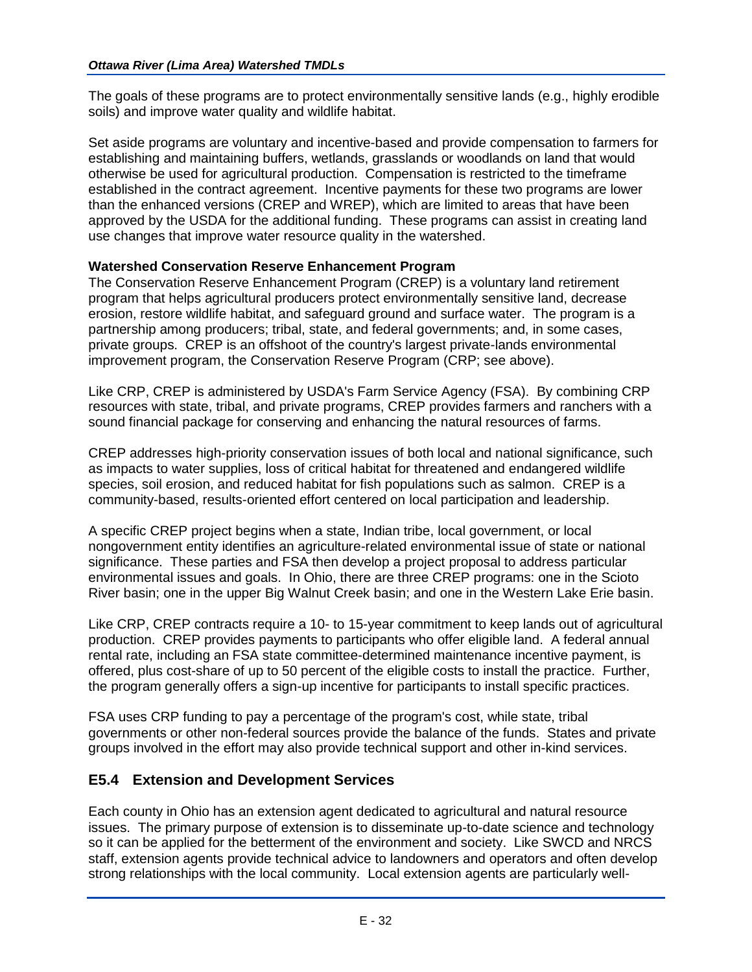The goals of these programs are to protect environmentally sensitive lands (e.g., highly erodible soils) and improve water quality and wildlife habitat.

Set aside programs are voluntary and incentive-based and provide compensation to farmers for establishing and maintaining buffers, wetlands, grasslands or woodlands on land that would otherwise be used for agricultural production. Compensation is restricted to the timeframe established in the contract agreement. Incentive payments for these two programs are lower than the enhanced versions (CREP and WREP), which are limited to areas that have been approved by the USDA for the additional funding. These programs can assist in creating land use changes that improve water resource quality in the watershed.

## **Watershed Conservation Reserve Enhancement Program**

The Conservation Reserve Enhancement Program (CREP) is a voluntary land retirement program that helps agricultural producers protect environmentally sensitive land, decrease erosion, restore wildlife habitat, and safeguard ground and surface water. The program is a partnership among producers; tribal, state, and federal governments; and, in some cases, private groups. CREP is an offshoot of the country's largest private-lands environmental improvement program, the Conservation Reserve Program (CRP; see above).

Like CRP, CREP is administered by USDA's Farm Service Agency (FSA). By combining CRP resources with state, tribal, and private programs, CREP provides farmers and ranchers with a sound financial package for conserving and enhancing the natural resources of farms.

CREP addresses high-priority conservation issues of both local and national significance, such as impacts to water supplies, loss of critical habitat for threatened and endangered wildlife species, soil erosion, and reduced habitat for fish populations such as salmon. CREP is a community-based, results-oriented effort centered on local participation and leadership.

A specific CREP project begins when a state, Indian tribe, local government, or local nongovernment entity identifies an agriculture-related environmental issue of state or national significance. These parties and FSA then develop a project proposal to address particular environmental issues and goals. In Ohio, there are three CREP programs: one in the Scioto River basin; one in the upper Big Walnut Creek basin; and one in the Western Lake Erie basin.

Like CRP, CREP contracts require a 10- to 15-year commitment to keep lands out of agricultural production. CREP provides payments to participants who offer eligible land. A federal annual rental rate, including an FSA state committee-determined maintenance incentive payment, is offered, plus cost-share of up to 50 percent of the eligible costs to install the practice. Further, the program generally offers a sign-up incentive for participants to install specific practices.

FSA uses CRP funding to pay a percentage of the program's cost, while state, tribal governments or other non-federal sources provide the balance of the funds. States and private groups involved in the effort may also provide technical support and other in-kind services.

## **E5.4 Extension and Development Services**

Each county in Ohio has an extension agent dedicated to agricultural and natural resource issues. The primary purpose of extension is to disseminate up-to-date science and technology so it can be applied for the betterment of the environment and society. Like SWCD and NRCS staff, extension agents provide technical advice to landowners and operators and often develop strong relationships with the local community. Local extension agents are particularly well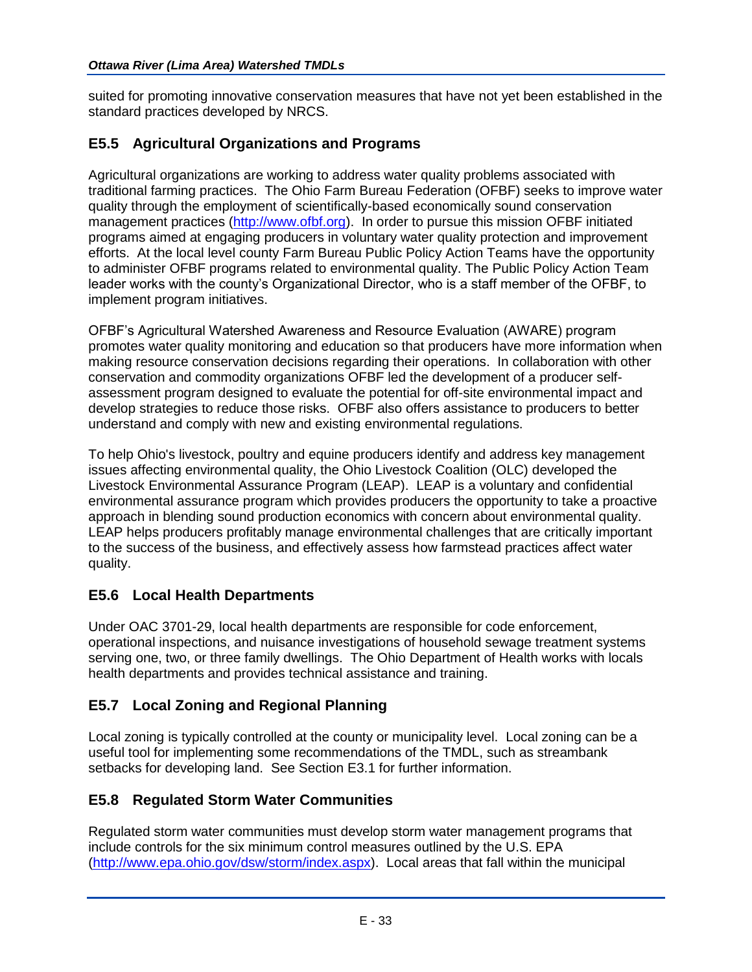suited for promoting innovative conservation measures that have not yet been established in the standard practices developed by NRCS.

## **E5.5 Agricultural Organizations and Programs**

Agricultural organizations are working to address water quality problems associated with traditional farming practices. The Ohio Farm Bureau Federation (OFBF) seeks to improve water quality through the employment of scientifically-based economically sound conservation management practices [\(http://www.ofbf.org\)](http://www.ofbf.org/). In order to pursue this mission OFBF initiated programs aimed at engaging producers in voluntary water quality protection and improvement efforts. At the local level county Farm Bureau Public Policy Action Teams have the opportunity to administer OFBF programs related to environmental quality. The Public Policy Action Team leader works with the county's Organizational Director, who is a staff member of the OFBF, to implement program initiatives.

OFBF's Agricultural Watershed Awareness and Resource Evaluation (AWARE) program promotes water quality monitoring and education so that producers have more information when making resource conservation decisions regarding their operations. In collaboration with other conservation and commodity organizations OFBF led the development of a producer selfassessment program designed to evaluate the potential for off-site environmental impact and develop strategies to reduce those risks. OFBF also offers assistance to producers to better understand and comply with new and existing environmental regulations.

To help Ohio's livestock, poultry and equine producers identify and address key management issues affecting environmental quality, the Ohio Livestock Coalition (OLC) developed the Livestock Environmental Assurance Program (LEAP). LEAP is a voluntary and confidential environmental assurance program which provides producers the opportunity to take a proactive approach in blending sound production economics with concern about environmental quality. LEAP helps producers profitably manage environmental challenges that are critically important to the success of the business, and effectively assess how farmstead practices affect water quality.

## **E5.6 Local Health Departments**

Under OAC 3701-29, local health departments are responsible for code enforcement, operational inspections, and nuisance investigations of household sewage treatment systems serving one, two, or three family dwellings. The Ohio Department of Health works with locals health departments and provides technical assistance and training.

## **E5.7 Local Zoning and Regional Planning**

Local zoning is typically controlled at the county or municipality level. Local zoning can be a useful tool for implementing some recommendations of the TMDL, such as streambank setbacks for developing land. See Section E3.1 for further information.

## **E5.8 Regulated Storm Water Communities**

Regulated storm water communities must develop storm water management programs that include controls for the six minimum control measures outlined by the U.S. EPA [\(http://www.epa.ohio.gov/dsw/storm/index.aspx\)](http://www.epa.ohio.gov/dsw/storm/index.aspx). Local areas that fall within the municipal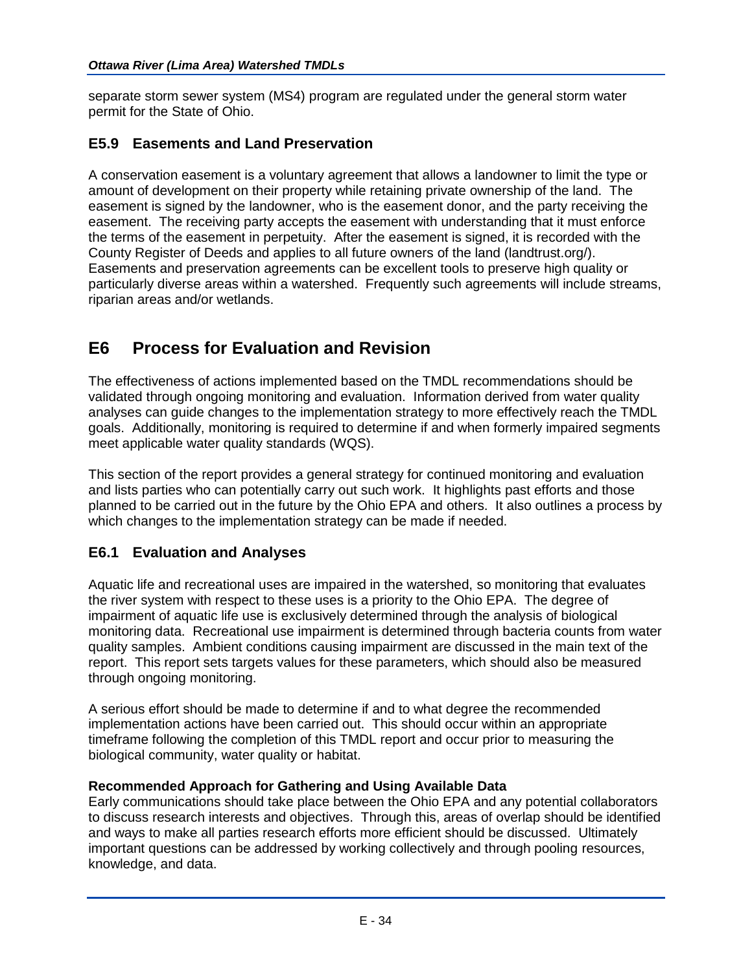separate storm sewer system (MS4) program are regulated under the general storm water permit for the State of Ohio.

## **E5.9 Easements and Land Preservation**

A conservation easement is a voluntary agreement that allows a landowner to limit the type or amount of development on their property while retaining private ownership of the land. The easement is signed by the landowner, who is the easement donor, and the party receiving the easement. The receiving party accepts the easement with understanding that it must enforce the terms of the easement in perpetuity. After the easement is signed, it is recorded with the County Register of Deeds and applies to all future owners of the land (landtrust.org/). Easements and preservation agreements can be excellent tools to preserve high quality or particularly diverse areas within a watershed. Frequently such agreements will include streams, riparian areas and/or wetlands.

# **E6 Process for Evaluation and Revision**

The effectiveness of actions implemented based on the TMDL recommendations should be validated through ongoing monitoring and evaluation. Information derived from water quality analyses can guide changes to the implementation strategy to more effectively reach the TMDL goals. Additionally, monitoring is required to determine if and when formerly impaired segments meet applicable water quality standards (WQS).

This section of the report provides a general strategy for continued monitoring and evaluation and lists parties who can potentially carry out such work. It highlights past efforts and those planned to be carried out in the future by the Ohio EPA and others. It also outlines a process by which changes to the implementation strategy can be made if needed.

## **E6.1 Evaluation and Analyses**

Aquatic life and recreational uses are impaired in the watershed, so monitoring that evaluates the river system with respect to these uses is a priority to the Ohio EPA. The degree of impairment of aquatic life use is exclusively determined through the analysis of biological monitoring data. Recreational use impairment is determined through bacteria counts from water quality samples. Ambient conditions causing impairment are discussed in the main text of the report. This report sets targets values for these parameters, which should also be measured through ongoing monitoring.

A serious effort should be made to determine if and to what degree the recommended implementation actions have been carried out. This should occur within an appropriate timeframe following the completion of this TMDL report and occur prior to measuring the biological community, water quality or habitat.

## **Recommended Approach for Gathering and Using Available Data**

Early communications should take place between the Ohio EPA and any potential collaborators to discuss research interests and objectives. Through this, areas of overlap should be identified and ways to make all parties research efforts more efficient should be discussed. Ultimately important questions can be addressed by working collectively and through pooling resources, knowledge, and data.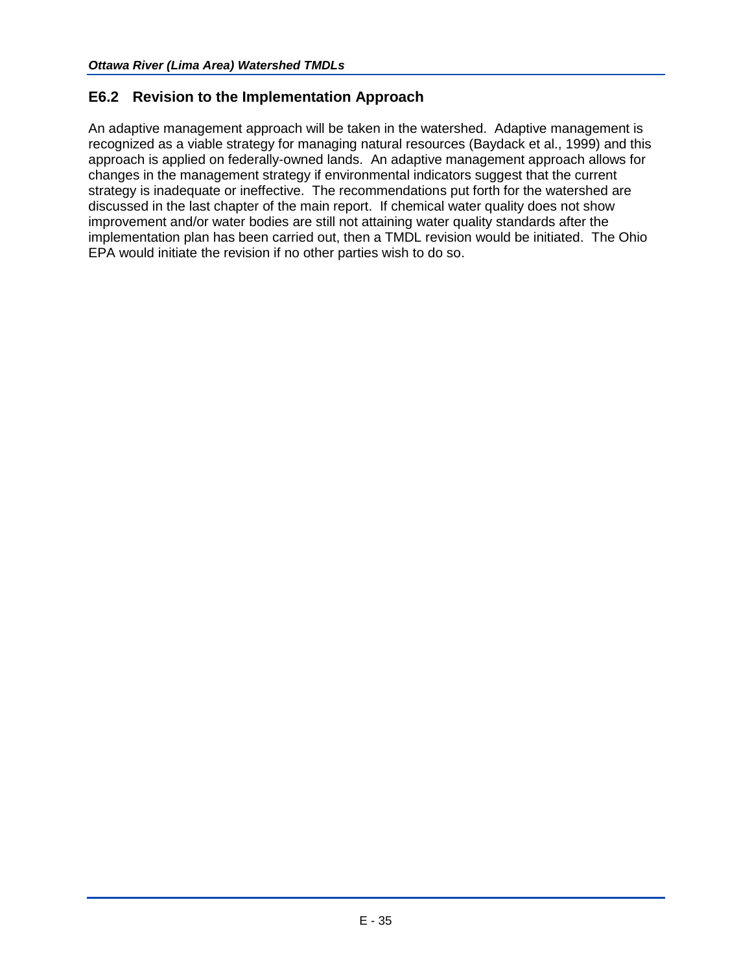## **E6.2 Revision to the Implementation Approach**

An adaptive management approach will be taken in the watershed. Adaptive management is recognized as a viable strategy for managing natural resources (Baydack et al., 1999) and this approach is applied on federally-owned lands. An adaptive management approach allows for changes in the management strategy if environmental indicators suggest that the current strategy is inadequate or ineffective. The recommendations put forth for the watershed are discussed in the last chapter of the main report. If chemical water quality does not show improvement and/or water bodies are still not attaining water quality standards after the implementation plan has been carried out, then a TMDL revision would be initiated. The Ohio EPA would initiate the revision if no other parties wish to do so.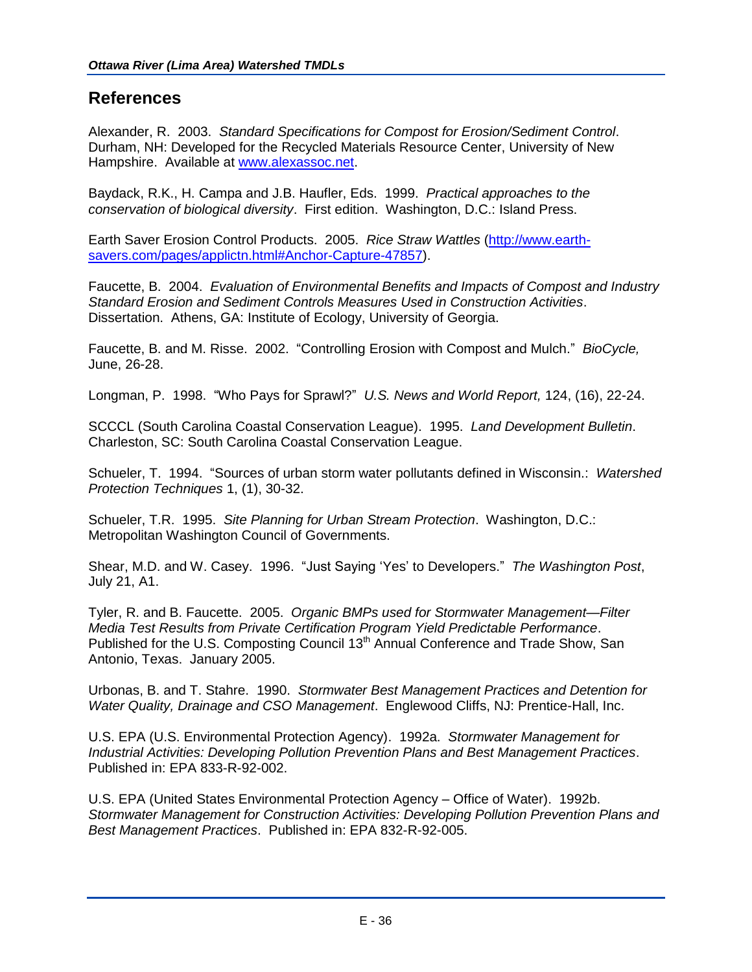## **References**

Alexander, R. 2003. *Standard Specifications for Compost for Erosion/Sediment Control*. Durham, NH: Developed for the Recycled Materials Resource Center, University of New Hampshire. Available at [www.alexassoc.net.](http://www.alexassoc.net/)

Baydack, R.K., H. Campa and J.B. Haufler, Eds. 1999. *Practical approaches to the conservation of biological diversity*. First edition. Washington, D.C.: Island Press.

Earth Saver Erosion Control Products. 2005. *Rice Straw Wattles* [\(http://www.earth](http://www.earth-savers.com/pages/applictn.html#Anchor-Capture-47857)[savers.com/pages/applictn.html#Anchor-Capture-47857\)](http://www.earth-savers.com/pages/applictn.html#Anchor-Capture-47857).

Faucette, B. 2004. *Evaluation of Environmental Benefits and Impacts of Compost and Industry Standard Erosion and Sediment Controls Measures Used in Construction Activities*. Dissertation. Athens, GA: Institute of Ecology, University of Georgia.

Faucette, B. and M. Risse. 2002. "Controlling Erosion with Compost and Mulch." *BioCycle,* June, 26-28.

Longman, P. 1998. "Who Pays for Sprawl?" *U.S. News and World Report,* 124, (16), 22-24.

SCCCL (South Carolina Coastal Conservation League). 1995. *Land Development Bulletin*. Charleston, SC: South Carolina Coastal Conservation League.

Schueler, T. 1994. "Sources of urban storm water pollutants defined in Wisconsin.: *Watershed Protection Techniques* 1, (1), 30-32.

Schueler, T.R. 1995. *Site Planning for Urban Stream Protection*. Washington, D.C.: Metropolitan Washington Council of Governments.

Shear, M.D. and W. Casey. 1996. "Just Saying 'Yes' to Developers." *The Washington Post*, July 21, A1.

Tyler, R. and B. Faucette. 2005. *Organic BMPs used for Stormwater Management—Filter Media Test Results from Private Certification Program Yield Predictable Performance*. Published for the U.S. Composting Council 13<sup>th</sup> Annual Conference and Trade Show, San Antonio, Texas. January 2005.

Urbonas, B. and T. Stahre. 1990. *Stormwater Best Management Practices and Detention for Water Quality, Drainage and CSO Management*. Englewood Cliffs, NJ: Prentice-Hall, Inc.

U.S. EPA (U.S. Environmental Protection Agency). 1992a. *Stormwater Management for Industrial Activities: Developing Pollution Prevention Plans and Best Management Practices*. Published in: EPA 833-R-92-002.

U.S. EPA (United States Environmental Protection Agency – Office of Water). 1992b. *Stormwater Management for Construction Activities: Developing Pollution Prevention Plans and Best Management Practices*. Published in: EPA 832-R-92-005.